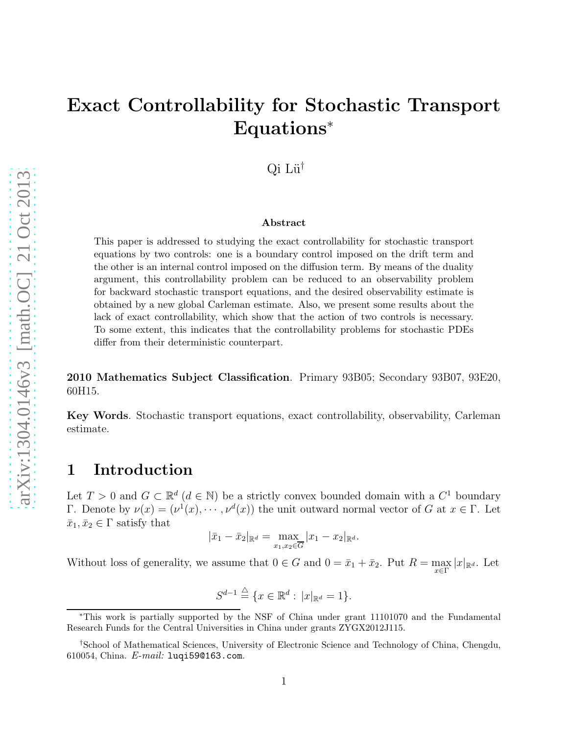# Exact Controllability for Stochastic Transport Equations<sup>∗</sup>

Qi Lü<sup>†</sup>

#### Abstract

This paper is addressed to studying the exact controllability for stochastic transport equations by two controls: one is a boundary control imposed on the drift term and the other is an internal control imposed on the diffusion term. By means of the duality argument, this controllability problem can be reduced to an observability problem for backward stochastic transport equations, and the desired observability estimate is obtained by a new global Carleman estimate. Also, we present some results about the lack of exact controllability, which show that the action of two controls is necessary. To some extent, this indicates that the controllability problems for stochastic PDEs differ from their deterministic counterpart.

2010 Mathematics Subject Classification. Primary 93B05; Secondary 93B07, 93E20, 60H15.

Key Words. Stochastic transport equations, exact controllability, observability, Carleman estimate.

#### 1 Introduction

Let  $T > 0$  and  $G \subset \mathbb{R}^d$   $(d \in \mathbb{N})$  be a strictly convex bounded domain with a  $C^1$  boundary Γ. Denote by  $\nu(x) = (\nu^1(x), \cdots, \nu^d(x))$  the unit outward normal vector of G at  $x \in \Gamma$ . Let  $\bar{x}_1, \bar{x}_2 \in \Gamma$  satisfy that

$$
|\bar{x}_1 - \bar{x}_2|_{\mathbb{R}^d} = \max_{x_1, x_2 \in \overline{G}} |x_1 - x_2|_{\mathbb{R}^d}.
$$

Without loss of generality, we assume that  $0 \in G$  and  $0 = \bar{x}_1 + \bar{x}_2$ . Put  $R = \max_{x \in \Gamma} |x|_{\mathbb{R}^d}$ . Let

$$
S^{d-1} \stackrel{\triangle}{=} \{x \in \mathbb{R}^d : |x|_{\mathbb{R}^d} = 1\}.
$$

<sup>∗</sup>This work is partially supported by the NSF of China under grant 11101070 and the Fundamental Research Funds for the Central Universities in China under grants ZYGX2012J115.

<sup>†</sup>School of Mathematical Sciences, University of Electronic Science and Technology of China, Chengdu, 610054, China.  $E$ -mail: luqi590163.com.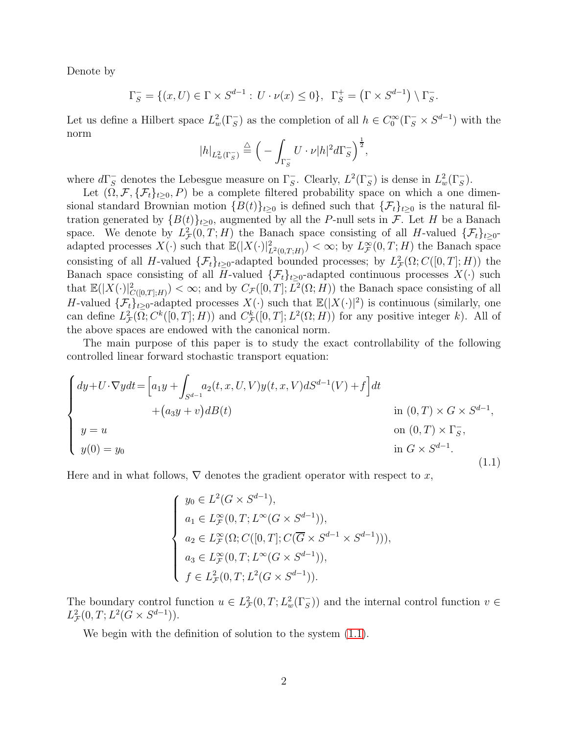Denote by

$$
\Gamma_S^- = \{ (x, U) \in \Gamma \times S^{d-1} : U \cdot \nu(x) \le 0 \}, \ \Gamma_S^+ = \left( \Gamma \times S^{d-1} \right) \setminus \Gamma_S^-.
$$

Let us define a Hilbert space  $L^2_w(\Gamma_S^-)$  as the completion of all  $h \in C_0^{\infty}(\Gamma_S^- \times S^{d-1})$  with the norm

$$
|h|_{L^2_w(\Gamma_S^-)} \stackrel{\triangle}{=} \left( -\int_{\Gamma_S^-} U \cdot \nu |h|^2 d\Gamma_S^- \right)^{\frac{1}{2}},
$$

where  $d\Gamma_S^-$  denotes the Lebesgue measure on  $\Gamma_S^-$ . Clearly,  $L^2(\Gamma_S^-)$  is dense in  $L^2_w(\Gamma_S^-)$ .

Let  $(\Omega, \mathcal{F}, \{\mathcal{F}_t\}_{t\geq 0}, P)$  be a complete filtered probability space on which a one dimensional standard Brownian motion  ${B(t)}_{t\geq0}$  is defined such that  ${\{\mathcal{F}_t\}}_{t\geq0}$  is the natural filtration generated by  ${B(t)}_{t\geq0}$ , augmented by all the P-null sets in F. Let H be a Banach space. We denote by  $L^2_{\mathcal{F}}(0,T;H)$  the Banach space consisting of all H-valued  $\{\mathcal{F}_t\}_{t\geq 0}$ adapted processes  $X(\cdot)$  such that  $\mathbb{E}(|X(\cdot)|^2_{L^2(0,T;H)}) < \infty$ ; by  $L^{\infty}_{\mathcal{F}}(0,T;H)$  the Banach space consisting of all H-valued  $\{\mathcal{F}_t\}_{t\geq 0}$ -adapted bounded processes; by  $L^2_{\mathcal{F}}(\Omega; C([0,T]; H))$  the Banach space consisting of all H-valued  $\{\mathcal{F}_t\}_{t>0}$ -adapted continuous processes  $X(\cdot)$  such that  $\mathbb{E}(|X(\cdot)|^2_{C([0,T];H)}) < \infty$ ; and by  $C_{\mathcal{F}}([0,T];L^2(\Omega;H))$  the Banach space consisting of all H-valued  $\{\mathcal{F}_t\}_{t\geq0}$ -adapted processes  $X(\cdot)$  such that  $\mathbb{E}(|X(\cdot)|^2)$  is continuous (similarly, one can define  $L^2_{\mathcal{F}}(\Omega; C^k([0,T]; H))$  and  $C^k_{\mathcal{F}}([0,T]; L^2(\Omega; H))$  for any positive integer k). All of the above spaces are endowed with the canonical norm.

The main purpose of this paper is to study the exact controllability of the following controlled linear forward stochastic transport equation:

<span id="page-1-0"></span>
$$
\begin{cases}\ndy+U\cdot\nabla ydt = \left[a_1y + \int_{S^{d-1}} a_2(t,x,U,V)y(t,x,V)dS^{d-1}(V) + f\right]dt \\
\quad + \left(a_3y + v\right)dB(t) & \text{in } (0,T) \times G \times S^{d-1}, \\
y = u & \text{on } (0,T) \times \Gamma_S^-, \\
y(0) = y_0 & \text{in } G \times S^{d-1}.\n\end{cases}
$$
\n(1.1)

Here and in what follows,  $\nabla$  denotes the gradient operator with respect to x,

$$
\begin{cases}\ny_0 \in L^2(G \times S^{d-1}), \\
a_1 \in L^{\infty}_F(0, T; L^{\infty}(G \times S^{d-1})), \\
a_2 \in L^{\infty}_F(\Omega; C([0, T]; C(\overline{G} \times S^{d-1} \times S^{d-1}))), \\
a_3 \in L^{\infty}_F(0, T; L^{\infty}(G \times S^{d-1})), \\
f \in L^2_F(0, T; L^2(G \times S^{d-1})).\n\end{cases}
$$

The boundary control function  $u \in L^2_{\mathcal{F}}(0,T; L^2_w(\Gamma_S^-))$  and the internal control function  $v \in$  $L^2_{\mathcal{F}}(0,T;L^2(G\times S^{d-1})).$ 

We begin with the definition of solution to the system [\(1.1\)](#page-1-0).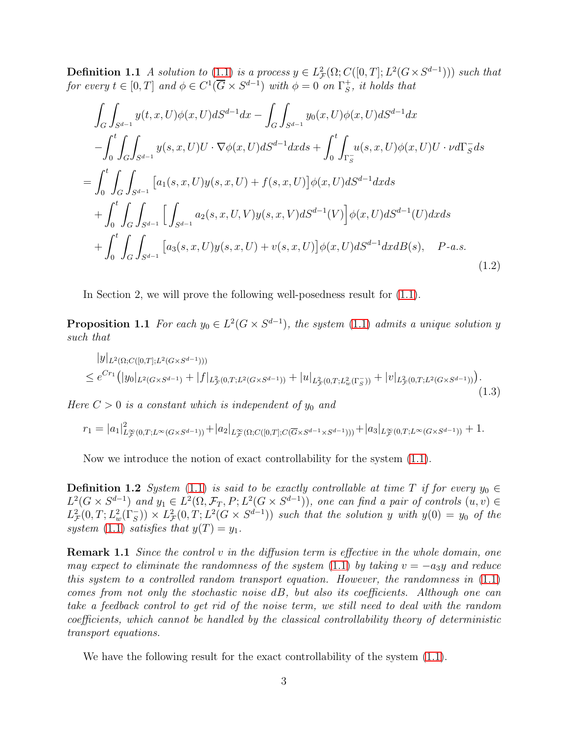**Definition 1.1** A solution to  $(1.1)$  is a process  $y \in L^2_{\mathcal{F}}(\Omega; C([0,T]; L^2(G \times S^{d-1})))$  such that for every  $t \in [0, T]$  and  $\phi \in C^1(\overline{G} \times S^{d-1})$  with  $\phi = 0$  on  $\Gamma_S^+$  $\frac{1}{S}$ , it holds that

<span id="page-2-3"></span>
$$
\int_{G} \int_{S^{d-1}} y(t, x, U)\phi(x, U)dS^{d-1}dx - \int_{G} \int_{S^{d-1}} y_0(x, U)\phi(x, U)dS^{d-1}dx \n- \int_{0}^{t} \int_{G} \int_{S^{d-1}} y(s, x, U)U \cdot \nabla \phi(x, U)dS^{d-1}dx ds + \int_{0}^{t} \int_{\Gamma_{S}^{-}} u(s, x, U)\phi(x, U)U \cdot \nu d\Gamma_{S}^{-}ds \n= \int_{0}^{t} \int_{G} \int_{S^{d-1}} [a_1(s, x, U)y(s, x, U) + f(s, x, U)]\phi(x, U)dS^{d-1}dx ds \n+ \int_{0}^{t} \int_{G} \int_{S^{d-1}} \left[ \int_{S^{d-1}} a_2(s, x, U, V)y(s, x, V)dS^{d-1}(V) \right] \phi(x, U)dS^{d-1}(U)dx ds \n+ \int_{0}^{t} \int_{G} \int_{S^{d-1}} [a_3(s, x, U)y(s, x, U) + v(s, x, U)]\phi(x, U)dS^{d-1}dx dB(s), \quad P-a.s.
$$
\n(1.2)

<span id="page-2-2"></span>In Section 2, we will prove the following well-posedness result for [\(1.1\)](#page-1-0).

**Proposition 1.1** For each  $y_0 \in L^2(G \times S^{d-1})$ , the system [\(1.1\)](#page-1-0) admits a unique solution y such that

<span id="page-2-4"></span>
$$
|y|_{L^{2}(\Omega;C([0,T];L^{2}(G\times S^{d-1})))}\n\leq e^{Cr_{1}}\big(|y_{0}|_{L^{2}(G\times S^{d-1})}+|f|_{L^{2}_{\mathcal{F}}(0,T;L^{2}(G\times S^{d-1}))}+|u|_{L^{2}_{\mathcal{F}}(0,T;L^{2}_{w}(\Gamma_{S}^{-}))}+|v|_{L^{2}_{\mathcal{F}}(0,T;L^{2}(G\times S^{d-1}))}\big).
$$
\n(1.3)

Here  $C > 0$  is a constant which is independent of  $y_0$  and

$$
r_1 = |a_1|_{L^{\infty}_F(0,T;L^{\infty}(G \times S^{d-1}))}^2 + |a_2|_{L^{\infty}_F(\Omega;C([0,T];C(\overline{G} \times S^{d-1} \times S^{d-1})))} + |a_3|_{L^{\infty}_F(0,T;L^{\infty}(G \times S^{d-1}))} + 1.
$$

<span id="page-2-0"></span>Now we introduce the notion of exact controllability for the system [\(1.1\)](#page-1-0).

**Definition 1.2** System [\(1.1\)](#page-1-0) is said to be exactly controllable at time T if for every  $y_0 \in$  $L^2(G \times S^{d-1})$  and  $y_1 \in L^2(\Omega, \mathcal{F}_T, P; L^2(G \times S^{d-1}))$ , one can find a pair of controls  $(u, v) \in$  $L^2_{\mathcal{F}}(0,T;L^2_w(\Gamma_S^-)) \times L^2_{\mathcal{F}}(0,T;L^2(G \times S^{d-1}))$  such that the solution y with  $y(0) = y_0$  of the system [\(1.1\)](#page-1-0) satisfies that  $y(T) = y_1$ .

**Remark 1.1** Since the control v in the diffusion term is effective in the whole domain, one may expect to eliminate the randomness of the system [\(1.1\)](#page-1-0) by taking  $v = -a_3y$  and reduce this system to a controlled random transport equation. However, the randomness in  $(1.1)$ comes from not only the stochastic noise dB, but also its coefficients. Although one can take a feedback control to get rid of the noise term, we still need to deal with the random coefficients, which cannot be handled by the classical controllability theory of deterministic transport equations.

<span id="page-2-1"></span>We have the following result for the exact controllability of the system [\(1.1\)](#page-1-0).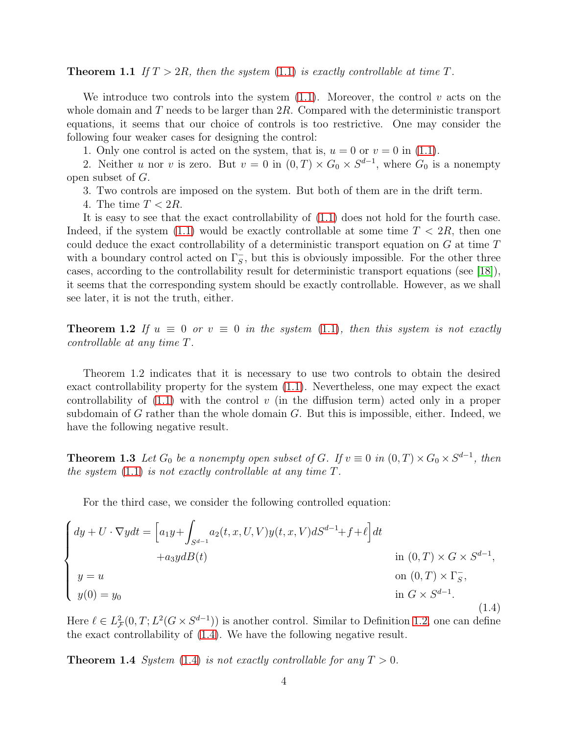**Theorem 1.1** If  $T > 2R$ , then the system [\(1.1\)](#page-1-0) is exactly controllable at time T.

We introduce two controls into the system  $(1.1)$ . Moreover, the control v acts on the whole domain and  $T$  needs to be larger than  $2R$ . Compared with the deterministic transport equations, it seems that our choice of controls is too restrictive. One may consider the following four weaker cases for designing the control:

1. Only one control is acted on the system, that is,  $u = 0$  or  $v = 0$  in [\(1.1\)](#page-1-0).

2. Neither u nor v is zero. But  $v = 0$  in  $(0, T) \times G_0 \times S^{d-1}$ , where  $G_0$  is a nonempty open subset of G.

3. Two controls are imposed on the system. But both of them are in the drift term.

4. The time  $T < 2R$ .

It is easy to see that the exact controllability of [\(1.1\)](#page-1-0) does not hold for the fourth case. Indeed, if the system  $(1.1)$  would be exactly controllable at some time  $T < 2R$ , then one could deduce the exact controllability of a deterministic transport equation on G at time T with a boundary control acted on  $\Gamma_{S}^{-}$ , but this is obviously impossible. For the other three cases, according to the controllability result for deterministic transport equations (see [\[18\]](#page-22-0)), it seems that the corresponding system should be exactly controllable. However, as we shall see later, it is not the truth, either.

<span id="page-3-1"></span>**Theorem 1.2** If  $u \equiv 0$  or  $v \equiv 0$  in the system [\(1.1\)](#page-1-0), then this system is not exactly controllable at any time T.

Theorem 1.2 indicates that it is necessary to use two controls to obtain the desired exact controllability property for the system [\(1.1\)](#page-1-0). Nevertheless, one may expect the exact controllability of  $(1.1)$  with the control v (in the diffusion term) acted only in a proper subdomain of G rather than the whole domain  $G$ . But this is impossible, either. Indeed, we have the following negative result.

<span id="page-3-3"></span>**Theorem 1.3** Let  $G_0$  be a nonempty open subset of G. If  $v \equiv 0$  in  $(0,T) \times G_0 \times S^{d-1}$ , then the system  $(1.1)$  is not exactly controllable at any time T.

For the third case, we consider the following controlled equation:

<span id="page-3-0"></span>
$$
\begin{cases}\ndy + U \cdot \nabla y dt = \left[a_1 y + \int_{S^{d-1}} a_2(t, x, U, V) y(t, x, V) dS^{d-1} + f + \ell\right] dt \\
+ a_3 y dB(t) & \text{in } (0, T) \times G \times S^{d-1}, \\
y = u & \text{on } (0, T) \times \Gamma_S^-, \\
y(0) = y_0 & \text{in } G \times S^{d-1}.\n\end{cases}
$$
\n(1.4)

<span id="page-3-2"></span>Here  $\ell \in L^2_{\mathcal{F}}(0,T; L^2(G \times S^{d-1}))$  is another control. Similar to Definition [1.2,](#page-2-0) one can define the exact controllability of [\(1.4\)](#page-3-0). We have the following negative result.

**Theorem 1.4** System [\(1.4\)](#page-3-0) is not exactly controllable for any  $T > 0$ .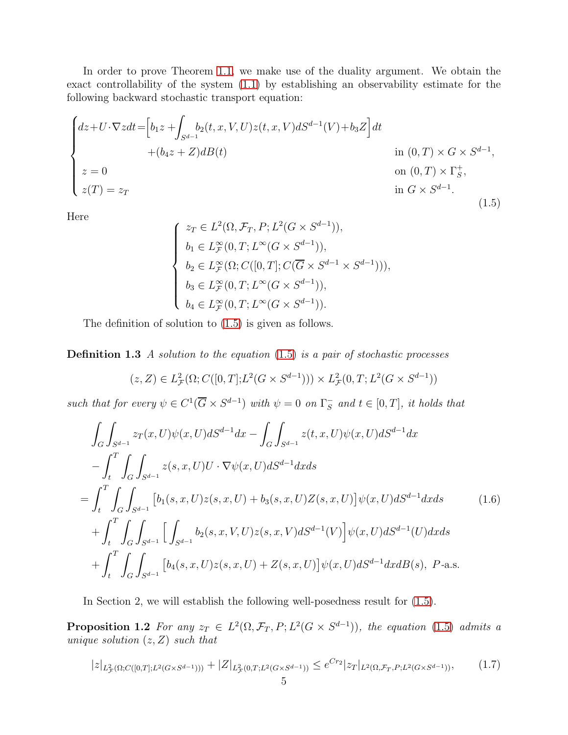In order to prove Theorem [1.1,](#page-2-1) we make use of the duality argument. We obtain the exact controllability of the system [\(1.1\)](#page-1-0) by establishing an observability estimate for the following backward stochastic transport equation:

<span id="page-4-0"></span>
$$
\begin{cases}\ndz+U\cdot\nabla zdt = \left[b_1z + \int_{S^{d-1}} b_2(t, x, V, U)z(t, x, V) dS^{d-1}(V) + b_3Z\right]dt \\
+ (b_4z+Z)dB(t) & \text{in } (0, T) \times G \times S^{d-1}, \\
z = 0 & \text{on } (0, T) \times \Gamma_5^+, \\
z(T) = z_T & \text{in } G \times S^{d-1}.\n\end{cases}
$$
\n(1.5)

Here

$$
\begin{cases}\nz_T \in L^2(\Omega, \mathcal{F}_T, P; L^2(G \times S^{d-1})), \\
b_1 \in L^\infty_{\mathcal{F}}(0, T; L^\infty(G \times S^{d-1})), \\
b_2 \in L^\infty_{\mathcal{F}}(\Omega; C([0, T]; C(\overline{G} \times S^{d-1} \times S^{d-1}))), \\
b_3 \in L^\infty_{\mathcal{F}}(0, T; L^\infty(G \times S^{d-1})), \\
b_4 \in L^\infty_{\mathcal{F}}(0, T; L^\infty(G \times S^{d-1})).\n\end{cases}
$$

The definition of solution to [\(1.5\)](#page-4-0) is given as follows.

**Definition 1.3** A solution to the equation  $(1.5)$  is a pair of stochastic processes

$$
(z, Z) \in L^2_{\mathcal{F}}(\Omega; C([0, T]; L^2(G \times S^{d-1}))) \times L^2_{\mathcal{F}}(0, T; L^2(G \times S^{d-1}))
$$

such that for every  $\psi \in C^1(\overline{G} \times S^{d-1})$  with  $\psi = 0$  on  $\Gamma_S^ \overline{s}$  and  $t \in [0, T]$ , it holds that

<span id="page-4-2"></span>
$$
\int_{G} \int_{S^{d-1}} z_T(x, U) \psi(x, U) dS^{d-1} dx - \int_{G} \int_{S^{d-1}} z(t, x, U) \psi(x, U) dS^{d-1} dx \n- \int_{t}^{T} \int_{G} \int_{S^{d-1}} z(s, x, U) U \cdot \nabla \psi(x, U) dS^{d-1} dx ds \n= \int_{t}^{T} \int_{G} \int_{S^{d-1}} \left[ b_1(s, x, U) z(s, x, U) + b_3(s, x, U) Z(s, x, U) \right] \psi(x, U) dS^{d-1} dx ds \n+ \int_{t}^{T} \int_{G} \int_{S^{d-1}} \left[ \int_{S^{d-1}} b_2(s, x, V, U) z(s, x, V) dS^{d-1}(V) \right] \psi(x, U) dS^{d-1}(U) dx ds \n+ \int_{t}^{T} \int_{G} \int_{S^{d-1}} \left[ b_4(s, x, U) z(s, x, U) + Z(s, x, U) \right] \psi(x, U) dS^{d-1} dx dB(s), \ P-a.s.
$$
\n(1.6)

<span id="page-4-1"></span>In Section 2, we will establish the following well-posedness result for [\(1.5\)](#page-4-0).

**Proposition 1.2** For any  $z_T \in L^2(\Omega, \mathcal{F}_T, P; L^2(G \times S^{d-1}))$ , the equation [\(1.5\)](#page-4-0) admits a unique solution  $(z, Z)$  such that

<span id="page-4-3"></span>
$$
|z|_{L^2(\Omega;C([0,T];L^2(G\times S^{d-1})))} + |Z|_{L^2(\Omega;L^2(G\times S^{d-1}))} \le e^{Cr_2}|z_T|_{L^2(\Omega,\mathcal{F}_T,P;L^2(G\times S^{d-1}))},\tag{1.7}
$$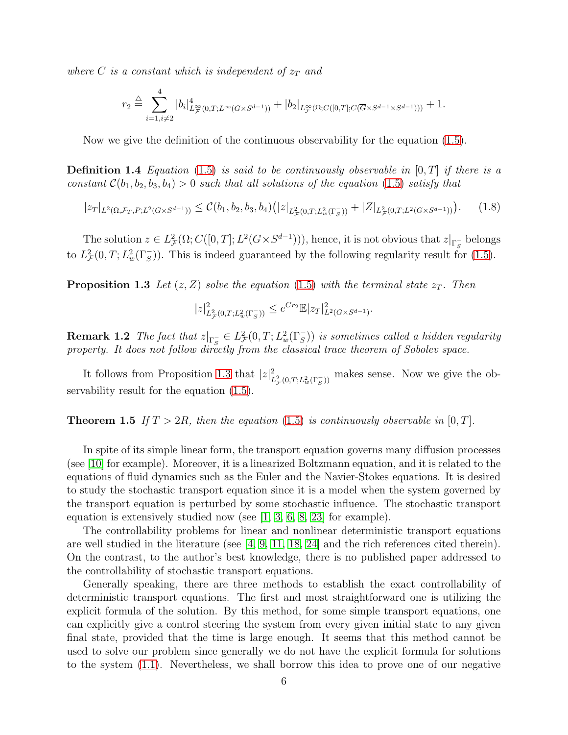where C is a constant which is independent of  $z_T$  and

$$
r_2 \stackrel{\triangle}{=} \sum_{i=1, i \neq 2}^4 |b_i|_{L^\infty_{\mathcal{F}}(0,T;L^\infty(G \times S^{d-1}))}^4 + |b_2|_{L^\infty_{\mathcal{F}}(\Omega;C([0,T];C(\overline{G} \times S^{d-1} \times S^{d-1})))} + 1.
$$

<span id="page-5-2"></span>Now we give the definition of the continuous observability for the equation [\(1.5\)](#page-4-0).

**Definition 1.4** Equation [\(1.5\)](#page-4-0) is said to be continuously observable in  $[0, T]$  if there is a constant  $C(b_1, b_2, b_3, b_4) > 0$  such that all solutions of the equation [\(1.5\)](#page-4-0) satisfy that

<span id="page-5-1"></span>
$$
|z_T|_{L^2(\Omega, \mathcal{F}_T, P; L^2(G \times S^{d-1}))} \leq \mathcal{C}(b_1, b_2, b_3, b_4) (|z|_{L^2_{\mathcal{F}}(0, T; L^2_w(\Gamma_S))} + |Z|_{L^2_{\mathcal{F}}(0, T; L^2(G \times S^{d-1}))}). \tag{1.8}
$$

<span id="page-5-0"></span>The solution  $z \in L^2_{\mathcal{F}}(\Omega; C([0,T]; L^2(G \times S^{d-1}))),$  hence, it is not obvious that  $z|_{\Gamma_{\mathcal{S}}^-}$  belongs to  $L^2_{\mathcal{F}}(0,T; L^2_w(\Gamma_s))$ . This is indeed guaranteed by the following regularity result for [\(1.5\)](#page-4-0).

**Proposition 1.3** Let  $(z, Z)$  solve the equation [\(1.5\)](#page-4-0) with the terminal state  $z_T$ . Then

$$
|z|_{L^2(\Gamma, T; L^2_w(\Gamma^-_S))}^2 \le e^{Cr_2} \mathbb{E} |z_T|_{L^2(G \times S^{d-1})}^2.
$$

**Remark 1.2** The fact that  $z|_{\Gamma_S^-} \in L^2_{\mathcal{F}}(0,T; L^2_w(\Gamma_S^-))$  is sometimes called a hidden regularity property. It does not follow directly from the classical trace theorem of Sobolev space.

<span id="page-5-3"></span>It follows from Proposition [1.3](#page-5-0) that  $|z|^2_{L^2_{\mathcal{F}}(0,T;L^2_w(\Gamma_S^-))}$  makes sense. Now we give the observability result for the equation  $(1.5)$ .

**Theorem 1.5** If  $T > 2R$ , then the equation [\(1.5\)](#page-4-0) is continuously observable in [0, T].

In spite of its simple linear form, the transport equation governs many diffusion processes (see [\[10\]](#page-22-1) for example). Moreover, it is a linearized Boltzmann equation, and it is related to the equations of fluid dynamics such as the Euler and the Navier-Stokes equations. It is desired to study the stochastic transport equation since it is a model when the system governed by the transport equation is perturbed by some stochastic influence. The stochastic transport equation is extensively studied now (see [\[1,](#page-21-0) [3,](#page-21-1) [6,](#page-21-2) [8,](#page-22-2) [23\]](#page-22-3) for example).

The controllability problems for linear and nonlinear deterministic transport equations are well studied in the literature (see  $[4, 9, 11, 18, 24]$  $[4, 9, 11, 18, 24]$  $[4, 9, 11, 18, 24]$  $[4, 9, 11, 18, 24]$  $[4, 9, 11, 18, 24]$  and the rich references cited therein). On the contrast, to the author's best knowledge, there is no published paper addressed to the controllability of stochastic transport equations.

Generally speaking, there are three methods to establish the exact controllability of deterministic transport equations. The first and most straightforward one is utilizing the explicit formula of the solution. By this method, for some simple transport equations, one can explicitly give a control steering the system from every given initial state to any given final state, provided that the time is large enough. It seems that this method cannot be used to solve our problem since generally we do not have the explicit formula for solutions to the system [\(1.1\)](#page-1-0). Nevertheless, we shall borrow this idea to prove one of our negative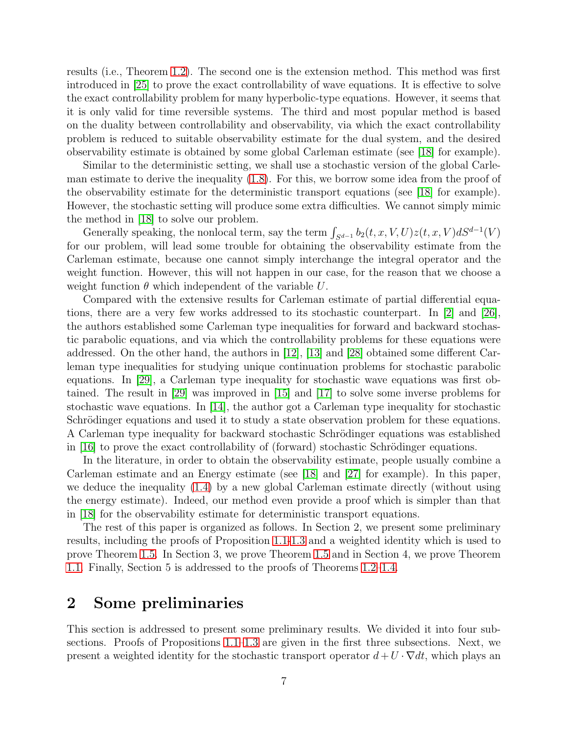results (i.e., Theorem [1.2\)](#page-3-1). The second one is the extension method. This method was first introduced in [\[25\]](#page-22-7) to prove the exact controllability of wave equations. It is effective to solve the exact controllability problem for many hyperbolic-type equations. However, it seems that it is only valid for time reversible systems. The third and most popular method is based on the duality between controllability and observability, via which the exact controllability problem is reduced to suitable observability estimate for the dual system, and the desired observability estimate is obtained by some global Carleman estimate (see [\[18\]](#page-22-0) for example).

Similar to the deterministic setting, we shall use a stochastic version of the global Carleman estimate to derive the inequality [\(1.8\)](#page-5-1). For this, we borrow some idea from the proof of the observability estimate for the deterministic transport equations (see [\[18\]](#page-22-0) for example). However, the stochastic setting will produce some extra difficulties. We cannot simply mimic the method in [\[18\]](#page-22-0) to solve our problem.

Generally speaking, the nonlocal term, say the term  $\int_{S^{d-1}} b_2(t, x, V, U) z(t, x, V) dS^{d-1}(V)$ for our problem, will lead some trouble for obtaining the observability estimate from the Carleman estimate, because one cannot simply interchange the integral operator and the weight function. However, this will not happen in our case, for the reason that we choose a weight function  $\theta$  which independent of the variable U.

Compared with the extensive results for Carleman estimate of partial differential equations, there are a very few works addressed to its stochastic counterpart. In [\[2\]](#page-21-4) and [\[26\]](#page-22-8), the authors established some Carleman type inequalities for forward and backward stochastic parabolic equations, and via which the controllability problems for these equations were addressed. On the other hand, the authors in [\[12\]](#page-22-9), [\[13\]](#page-22-10) and [\[28\]](#page-22-11) obtained some different Carleman type inequalities for studying unique continuation problems for stochastic parabolic equations. In [\[29\]](#page-23-0), a Carleman type inequality for stochastic wave equations was first obtained. The result in [\[29\]](#page-23-0) was improved in [\[15\]](#page-22-12) and [\[17\]](#page-22-13) to solve some inverse problems for stochastic wave equations. In [\[14\]](#page-22-14), the author got a Carleman type inequality for stochastic Schrödinger equations and used it to study a state observation problem for these equations. A Carleman type inequality for backward stochastic Schrödinger equations was established in  $[16]$  to prove the exact controllability of (forward) stochastic Schrödinger equations.

In the literature, in order to obtain the observability estimate, people usually combine a Carleman estimate and an Energy estimate (see [\[18\]](#page-22-0) and [\[27\]](#page-22-16) for example). In this paper, we deduce the inequality [\(1.4\)](#page-5-2) by a new global Carleman estimate directly (without using the energy estimate). Indeed, our method even provide a proof which is simpler than that in [\[18\]](#page-22-0) for the observability estimate for deterministic transport equations.

The rest of this paper is organized as follows. In Section 2, we present some preliminary results, including the proofs of Proposition [1.1-](#page-2-2)[1.3](#page-5-0) and a weighted identity which is used to prove Theorem [1.5.](#page-5-3) In Section 3, we prove Theorem [1.5](#page-5-3) and in Section 4, we prove Theorem [1.1.](#page-2-1) Finally, Section 5 is addressed to the proofs of Theorems [1.2](#page-3-1)[–1.4.](#page-3-2)

#### 2 Some preliminaries

This section is addressed to present some preliminary results. We divided it into four subsections. Proofs of Propositions [1.1–](#page-2-2)[1.3](#page-5-0) are given in the first three subsections. Next, we present a weighted identity for the stochastic transport operator  $d+U\cdot\nabla dt$ , which plays an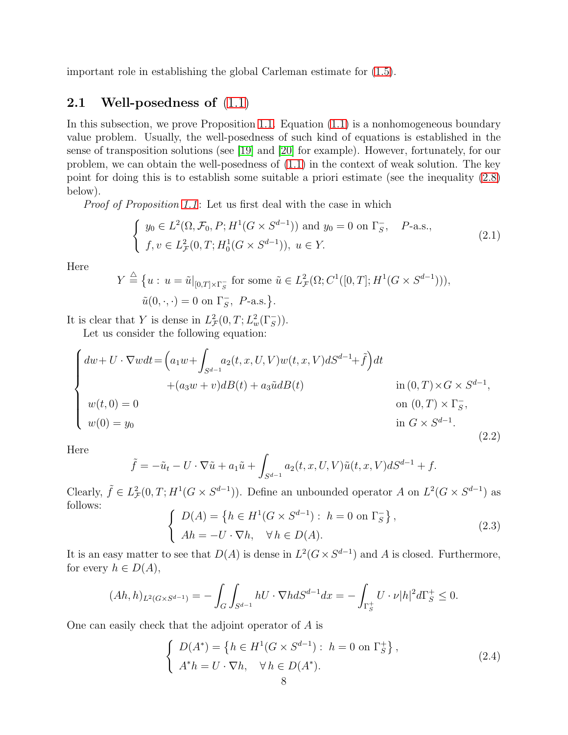important role in establishing the global Carleman estimate for [\(1.5\)](#page-4-0).

#### **2.1** Well-posedness of  $(1.1)$

In this subsection, we prove Proposition [1.1.](#page-2-2) Equation [\(1.1\)](#page-1-0) is a nonhomogeneous boundary value problem. Usually, the well-posedness of such kind of equations is established in the sense of transposition solutions (see [\[19\]](#page-22-17) and [\[20\]](#page-22-18) for example). However, fortunately, for our problem, we can obtain the well-posedness of  $(1.1)$  in the context of weak solution. The key point for doing this is to establish some suitable a priori estimate (see the inequality [\(2.8\)](#page-9-0) below).

Proof of Proposition [1.1](#page-2-2): Let us first deal with the case in which

<span id="page-7-1"></span>
$$
\begin{cases} y_0 \in L^2(\Omega, \mathcal{F}_0, P; H^1(G \times S^{d-1})) \text{ and } y_0 = 0 \text{ on } \Gamma_S^-, \quad P\text{-a.s.,} \\ f, v \in L^2_{\mathcal{F}}(0, T; H_0^1(G \times S^{d-1})), u \in Y. \end{cases}
$$
(2.1)

Here

$$
Y \stackrel{\triangle}{=} \{ u : u = \tilde{u}|_{[0,T] \times \Gamma_S^-} \text{ for some } \tilde{u} \in L^2_{\mathcal{F}}(\Omega; C^1([0,T]; H^1(G \times S^{d-1}))),
$$
  

$$
\tilde{u}(0, \cdot, \cdot) = 0 \text{ on } \Gamma_S^-, P\text{-a.s.} \}.
$$

It is clear that Y is dense in  $L^2_{\mathcal{F}}(0,T; L^2_w(\Gamma_S^-))$ .

Let us consider the following equation:

<span id="page-7-0"></span>
$$
\begin{cases}\ndw + U \cdot \nabla w dt = \left(a_1 w + \int_{S^{d-1}} a_2(t, x, U, V) w(t, x, V) dS^{d-1} + \tilde{f}\right) dt \\
+ (a_3 w + v) dB(t) + a_3 \tilde{u} dB(t) & \text{in } (0, T) \times G \times S^{d-1}, \\
w(t, 0) = 0 & \text{on } (0, T) \times \Gamma_S^-, \\
w(0) = y_0 & \text{in } G \times S^{d-1}.\n\end{cases}
$$
\n(2.2)

Here

$$
\tilde{f} = -\tilde{u}_t - U \cdot \nabla \tilde{u} + a_1 \tilde{u} + \int_{S^{d-1}} a_2(t, x, U, V) \tilde{u}(t, x, V) dS^{d-1} + f.
$$

Clearly,  $\tilde{f} \in L^2_{\mathcal{F}}(0,T;H^1(G \times S^{d-1}))$ . Define an unbounded operator A on  $L^2(G \times S^{d-1})$  as follows:<br>  $\int D(A) = \{ h \in H^1(G \times S^{d-1}) : h = 0 \text{ on } \Gamma_S^- \},$ 

$$
D(A) = \{ h \in H^1(G \times S^{a-1}) : h = 0 \text{ on } \Gamma_S^-\},
$$
  
\n
$$
Ah = -U \cdot \nabla h, \quad \forall h \in D(A).
$$
\n(2.3)

It is an easy matter to see that  $D(A)$  is dense in  $L^2(G\times S^{d-1})$  and A is closed. Furthermore, for every  $h \in D(A)$ ,

$$
(Ah, h)_{L^2(G \times S^{d-1})} = -\int_G \int_{S^{d-1}} hU \cdot \nabla h dS^{d-1} dx = -\int_{\Gamma_S^+} U \cdot \nu |h|^2 d\Gamma_S^+ \le 0.
$$

One can easily check that the adjoint operator of A is

$$
\begin{cases}\nD(A^*) = \left\{ h \in H^1(G \times S^{d-1}) : h = 0 \text{ on } \Gamma_S^+\right\}, \\
A^*h = U \cdot \nabla h, \quad \forall h \in D(A^*).\n\end{cases}
$$
\n(2.4)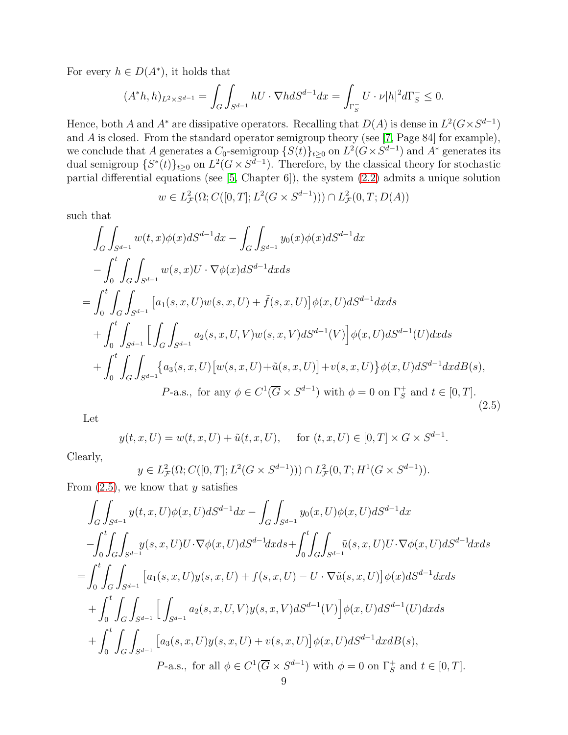For every  $h \in D(A^*)$ , it holds that

$$
(A^*h,h)_{L^2\times S^{d-1}}=\int_G\int_{S^{d-1}}hU\cdot\nabla h dS^{d-1}dx=\int_{\Gamma_S^-}U\cdot\nu|h|^2d\Gamma_S^-\leq 0.
$$

Hence, both A and A<sup>\*</sup> are dissipative operators. Recalling that  $D(A)$  is dense in  $L^2(G\times S^{d-1})$ and A is closed. From the standard operator semigroup theory (see [\[7,](#page-21-5) Page 84] for example), we conclude that A generates a  $C_0$ -semigroup  $\{S(t)\}_{t\geq 0}$  on  $L^2(G\times S^{d-1})$  and  $A^*$  generates its dual semigroup  $\{S^*(t)\}_{t\geq 0}$  on  $L^2(G\times S^{d-1})$ . Therefore, by the classical theory for stochastic partial differential equations (see [\[5,](#page-21-6) Chapter 6]), the system [\(2.2\)](#page-7-0) admits a unique solution

$$
w \in L^2_{\mathcal{F}}(\Omega; C([0, T]; L^2(G \times S^{d-1}))) \cap L^2_{\mathcal{F}}(0, T; D(A))
$$

such that

<span id="page-8-0"></span>
$$
\int_{G} \int_{S^{d-1}} w(t, x) \phi(x) dS^{d-1} dx - \int_{G} \int_{S^{d-1}} y_0(x) \phi(x) dS^{d-1} dx \n- \int_{0}^{t} \int_{G} \int_{S^{d-1}} w(s, x) U \cdot \nabla \phi(x) dS^{d-1} dx ds \n= \int_{0}^{t} \int_{G} \int_{S^{d-1}} [a_1(s, x, U) w(s, x, U) + \tilde{f}(s, x, U)] \phi(x, U) dS^{d-1} dx ds \n+ \int_{0}^{t} \int_{S^{d-1}} \Big[ \int_{G} \int_{S^{d-1}} a_2(s, x, U, V) w(s, x, V) dS^{d-1}(V) \Big] \phi(x, U) dS^{d-1}(U) dx ds \n+ \int_{0}^{t} \int_{G} \int_{S^{d-1}} \Big\{ a_3(s, x, U) \big[ w(s, x, U) + \tilde{u}(s, x, U) \big] + v(s, x, U) \Big\} \phi(x, U) dS^{d-1} dx dB(s), \nP-a.s., \text{ for any } \phi \in C^{1}(\overline{G} \times S^{d-1}) \text{ with } \phi = 0 \text{ on } \Gamma_{S}^{+} \text{ and } t \in [0, T].
$$
\n(2.5)

Let

$$
y(t, x, U) = w(t, x, U) + \tilde{u}(t, x, U),
$$
 for  $(t, x, U) \in [0, T] \times G \times S^{d-1}.$ 

Clearly,

$$
y \in L^2_{\mathcal{F}}(\Omega; C([0, T]; L^2(G \times S^{d-1}))) \cap L^2_{\mathcal{F}}(0, T; H^1(G \times S^{d-1})).
$$

From  $(2.5)$ , we know that y satisfies

$$
\int_{G} \int_{S^{d-1}} y(t, x, U)\phi(x, U)dS^{d-1}dx - \int_{G} \int_{S^{d-1}} y_0(x, U)\phi(x, U)dS^{d-1}dx
$$
  
\n
$$
-\int_{0}^{t} \int_{G} \int_{S^{d-1}} y(s, x, U)U \cdot \nabla \phi(x, U)dS^{d-1}dx ds + \int_{0}^{t} \int_{G} \int_{S^{d-1}} \tilde{u}(s, x, U)U \cdot \nabla \phi(x, U)dS^{d-1}dx ds
$$
  
\n
$$
= \int_{0}^{t} \int_{G} \int_{S^{d-1}} [a_1(s, x, U)y(s, x, U) + f(s, x, U) - U \cdot \nabla \tilde{u}(s, x, U)] \phi(x) dS^{d-1}dx ds
$$
  
\n
$$
+ \int_{0}^{t} \int_{G} \int_{S^{d-1}} [ \int_{S^{d-1}} a_2(s, x, U, V)y(s, x, V) dS^{d-1}(V) ] \phi(x, U)dS^{d-1}(U)dx ds
$$
  
\n
$$
+ \int_{0}^{t} \int_{G} \int_{S^{d-1}} [a_3(s, x, U)y(s, x, U) + v(s, x, U)] \phi(x, U)dS^{d-1}dx dB(s),
$$
  
\n
$$
P-a.s., \text{ for all } \phi \in C^{1}(\overline{G} \times S^{d-1}) \text{ with } \phi = 0 \text{ on } \Gamma_{S}^{+} \text{ and } t \in [0, T].
$$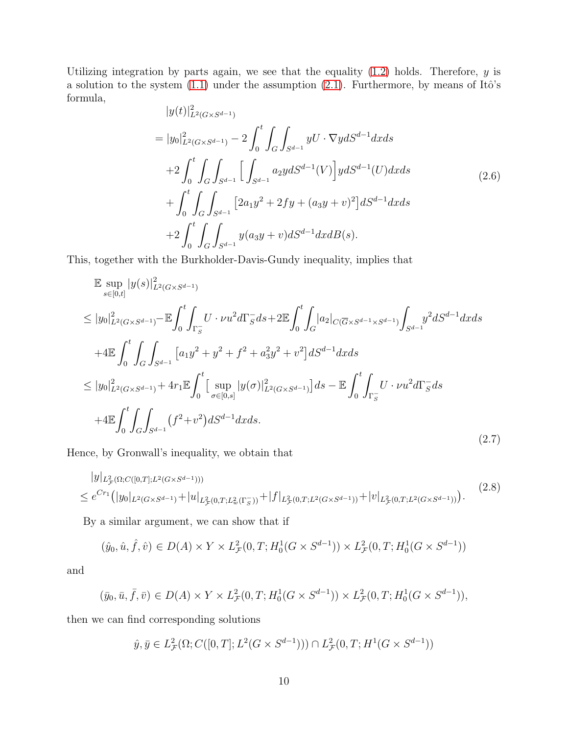Utilizing integration by parts again, we see that the equality  $(1.2)$  holds. Therefore, y is a solution to the system  $(1.1)$  under the assumption  $(2.1)$ . Furthermore, by means of Itô's formula,

$$
|y(t)|_{L^{2}(G\times S^{d-1})}^{2}
$$
\n
$$
= |y_{0}|_{L^{2}(G\times S^{d-1})}^{2} - 2 \int_{0}^{t} \int_{G} \int_{S^{d-1}} yU \cdot \nabla y dS^{d-1} dx ds
$$
\n
$$
+ 2 \int_{0}^{t} \int_{G} \int_{S^{d-1}} \left[ \int_{S^{d-1}} a_{2}y dS^{d-1}(V) \right] y dS^{d-1}(U) dx ds
$$
\n
$$
+ \int_{0}^{t} \int_{G} \int_{S^{d-1}} \left[ 2a_{1}y^{2} + 2fy + (a_{3}y + v)^{2} \right] dS^{d-1} dx ds
$$
\n
$$
+ 2 \int_{0}^{t} \int_{G} \int_{S^{d-1}} y(a_{3}y + v) dS^{d-1} dx dB(s).
$$
\n(2.6)

This, together with the Burkholder-Davis-Gundy inequality, implies that

$$
\mathbb{E} \sup_{s \in [0,t]} |y(s)|_{L^2(G \times S^{d-1})}^2
$$
\n
$$
\leq |y_0|_{L^2(G \times S^{d-1})}^2 - \mathbb{E} \int_0^t \int_{\Gamma_S} U \cdot \nu u^2 d\Gamma_S ds + 2 \mathbb{E} \int_0^t \int_G |a_2|_{C(\overline{G} \times S^{d-1} \times S^{d-1})} \int_{S^{d-1}} y^2 dS^{d-1} dx ds
$$
\n
$$
+ 4 \mathbb{E} \int_0^t \int_G \int_{S^{d-1}} [a_1 y^2 + y^2 + f^2 + a_3^2 y^2 + v^2] dS^{d-1} dx ds
$$
\n
$$
\leq |y_0|_{L^2(G \times S^{d-1})}^2 + 4r_1 \mathbb{E} \int_0^t \Big[ \sup_{\sigma \in [0,s]} |y(\sigma)|_{L^2(G \times S^{d-1})}^2 \Big] ds - \mathbb{E} \int_0^t \int_{\Gamma_S} U \cdot \nu u^2 d\Gamma_S ds
$$
\n
$$
+ 4 \mathbb{E} \int_0^t \int_G \int_{S^{d-1}} (f^2 + v^2) dS^{d-1} dx ds.
$$
\n(2.7)

Hence, by Gronwall's inequality, we obtain that

<span id="page-9-0"></span>
$$
|y|_{L_{\mathcal{F}}^{2}(\Omega;C([0,T];L^{2}(G\times S^{d-1})))}\n\leq e^{Cr_{1}}(|y_{0}|_{L^{2}(G\times S^{d-1})}+|u|_{L_{\mathcal{F}}^{2}(0,T;L_{w}^{2}(\Gamma_{S}^{-}))}+|f|_{L_{\mathcal{F}}^{2}(0,T;L^{2}(G\times S^{d-1}))}+|v|_{L_{\mathcal{F}}^{2}(0,T;L^{2}(G\times S^{d-1}))}).
$$
\n(2.8)

By a similar argument, we can show that if

$$
(\hat{y}_0, \hat{u}, \hat{f}, \hat{v}) \in D(A) \times Y \times L^2_{\mathcal{F}}(0, T; H_0^1(G \times S^{d-1})) \times L^2_{\mathcal{F}}(0, T; H_0^1(G \times S^{d-1}))
$$

and

$$
(\bar{y}_0, \bar{u}, \bar{f}, \bar{v}) \in D(A) \times Y \times L^2_{\mathcal{F}}(0, T; H_0^1(G \times S^{d-1})) \times L^2_{\mathcal{F}}(0, T; H_0^1(G \times S^{d-1})),
$$

then we can find corresponding solutions

$$
\hat{y}, \bar{y} \in L^2_{\mathcal{F}}(\Omega; C([0, T]; L^2(G \times S^{d-1}))) \cap L^2_{\mathcal{F}}(0, T; H^1(G \times S^{d-1}))
$$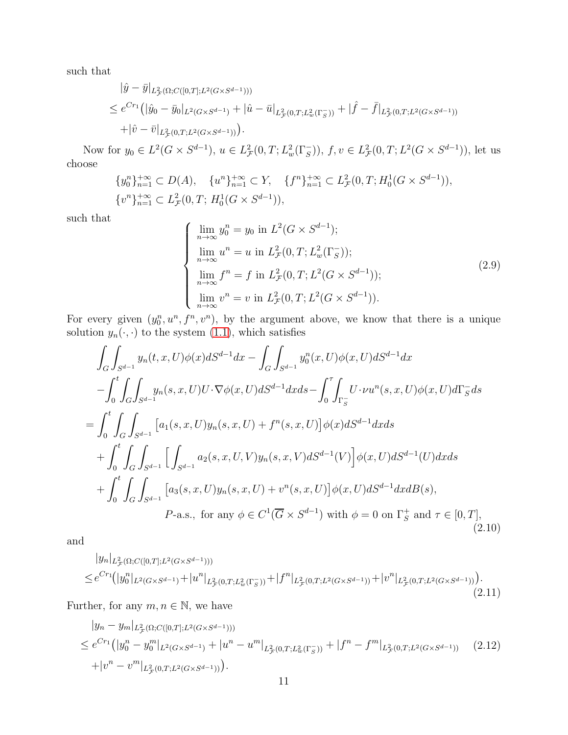such that

$$
\begin{split} |\hat{y} - \bar{y}|_{L^2_{\mathcal{F}}(\Omega; C([0,T]; L^2(G \times S^{d-1})))} \\ \leq e^{Cr_1} (|\hat{y}_0 - \bar{y}_0|_{L^2(G \times S^{d-1})} + |\hat{u} - \bar{u}|_{L^2_{\mathcal{F}}(0,T; L^2_{w}(\Gamma^-_S))} + |\hat{f} - \bar{f}|_{L^2_{\mathcal{F}}(0,T; L^2(G \times S^{d-1}))} \\ + |\hat{v} - \bar{v}|_{L^2_{\mathcal{F}}(0,T; L^2(G \times S^{d-1})))} . \end{split}
$$

Now for  $y_0 \in L^2(G \times S^{d-1}), u \in L^2_{\mathcal{F}}(0,T; L^2_w(\Gamma_S^-)), f, v \in L^2_{\mathcal{F}}(0,T; L^2(G \times S^{d-1})),$  let us choose

$$
\{y_0^n\}_{n=1}^{+\infty} \subset D(A), \quad \{u^n\}_{n=1}^{+\infty} \subset Y, \quad \{f^n\}_{n=1}^{+\infty} \subset L^2_{\mathcal{F}}(0,T;H_0^1(G \times S^{d-1})),
$$
  

$$
\{v^n\}_{n=1}^{+\infty} \subset L^2_{\mathcal{F}}(0,T;H_0^1(G \times S^{d-1})),
$$

such that

<span id="page-10-0"></span>
$$
\begin{cases}\n\lim_{n \to \infty} y_0^n = y_0 \text{ in } L^2(G \times S^{d-1});\\ \n\lim_{n \to \infty} u^n = u \text{ in } L^2_{\mathcal{F}}(0, T; L^2_w(\Gamma_S^-));\\ \n\lim_{n \to \infty} f^n = f \text{ in } L^2_{\mathcal{F}}(0, T; L^2(G \times S^{d-1}));\\ \n\lim_{n \to \infty} v^n = v \text{ in } L^2_{\mathcal{F}}(0, T; L^2(G \times S^{d-1})).\n\end{cases}
$$
\n(2.9)

For every given  $(y_0^n, u^n, f^n, v^n)$ , by the argument above, we know that there is a unique solution  $y_n(\cdot, \cdot)$  to the system [\(1.1\)](#page-1-0), which satisfies

<span id="page-10-2"></span>
$$
\int_{G} \int_{S^{d-1}} y_n(t, x, U)\phi(x)dS^{d-1}dx - \int_{G} \int_{S^{d-1}} y_0^n(x, U)\phi(x, U)dS^{d-1}dx \n- \int_{0}^{t} \int_{G} \int_{S^{d-1}} y_n(s, x, U)U \cdot \nabla \phi(x, U)dS^{d-1}dx ds - \int_{0}^{\tau} \int_{\Gamma_{S}^{-}} U \cdot \nu u^n(s, x, U)\phi(x, U)d\Gamma_{S}^{-}ds \n= \int_{0}^{t} \int_{G} \int_{S^{d-1}} [a_1(s, x, U)y_n(s, x, U) + f^n(s, x, U)]\phi(x)dS^{d-1}dx ds \n+ \int_{0}^{t} \int_{G} \int_{S^{d-1}} [ \int_{S^{d-1}} a_2(s, x, U, V)y_n(s, x, V) dS^{d-1}(V)]\phi(x, U)dS^{d-1}(U)dx ds \n+ \int_{0}^{t} \int_{G} \int_{S^{d-1}} [a_3(s, x, U)y_n(s, x, U) + v^n(s, x, U)]\phi(x, U)dS^{d-1}dx dB(s), \nP-a.s., for any  $\phi \in C^1(\overline{G} \times S^{d-1})$  with  $\phi = 0$  on  $\Gamma_{S}^{+}$  and  $\tau \in [0, T]$ , (2.10)
$$

and

<span id="page-10-3"></span>
$$
|y_n|_{L^2_{\mathcal{F}}(\Omega; C([0,T]; L^2(G \times S^{d-1})))}\n\leq e^{Cr_1}(|y_0^n|_{L^2(G \times S^{d-1})} + |u^n|_{L^2_{\mathcal{F}}(0,T; L^2_{w}(\Gamma_S^-))} + |f^n|_{L^2_{\mathcal{F}}(0,T; L^2(G \times S^{d-1}))} + |v^n|_{L^2_{\mathcal{F}}(0,T; L^2(G \times S^{d-1}))}).
$$
\n(2.11)

Further, for any  $m, n \in \mathbb{N}$ , we have

<span id="page-10-1"></span>
$$
|y_n - y_m|_{L^2_{\mathcal{F}}(\Omega; C([0,T]; L^2(G \times S^{d-1})))}
$$
  
\n
$$
\leq e^{Cr_1} (|y_0^n - y_0^m|_{L^2(G \times S^{d-1})} + |u^n - u^m|_{L^2_{\mathcal{F}}(0,T; L^2_{w}(\Gamma_{\mathcal{S}}))} + |f^n - f^m|_{L^2_{\mathcal{F}}(0,T; L^2(G \times S^{d-1}))}
$$
 (2.12)  
\n
$$
+ |v^n - v^m|_{L^2_{\mathcal{F}}(0,T; L^2(G \times S^{d-1})))}.
$$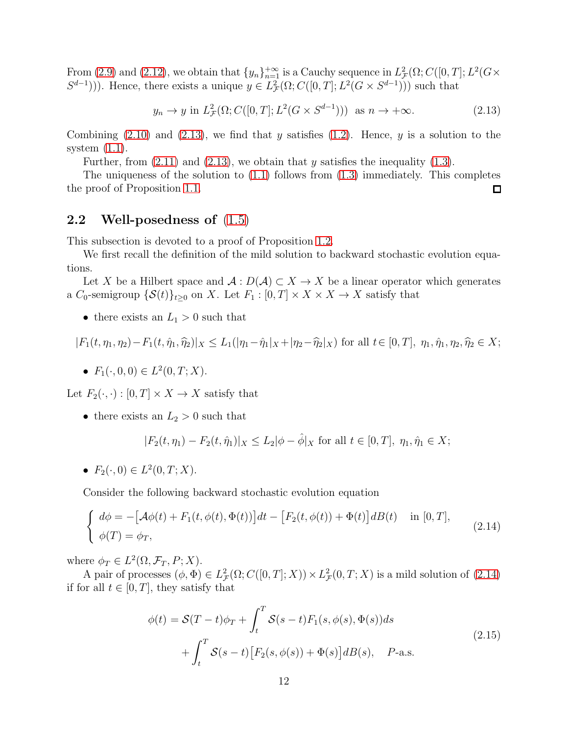From [\(2.9\)](#page-10-0) and [\(2.12\)](#page-10-1), we obtain that  $\{y_n\}_{n=1}^{+\infty}$  is a Cauchy sequence in  $L^2_{\mathcal{F}}(\Omega; C([0,T]; L^2(G \times$  $(S^{d-1}))$ . Hence, there exists a unique  $y \in L^2_{\mathcal{F}}(\Omega; C([0,T]; L^2(G \times S^{d-1})))$  such that

<span id="page-11-0"></span>
$$
y_n \to y \text{ in } L^2_{\mathcal{F}}(\Omega; C([0, T]; L^2(G \times S^{d-1}))) \text{ as } n \to +\infty.
$$
 (2.13)

Combining  $(2.10)$  and  $(2.13)$ , we find that y satisfies  $(1.2)$ . Hence, y is a solution to the system  $(1.1)$ .

Further, from  $(2.11)$  and  $(2.13)$ , we obtain that y satisfies the inequality  $(1.3)$ .

The uniqueness of the solution to  $(1.1)$  follows from  $(1.3)$  immediately. This completes the proof of Proposition [1.1.](#page-2-2)  $\Box$ 

#### 2.2 Well-posedness of [\(1.5\)](#page-4-0)

This subsection is devoted to a proof of Proposition [1.2.](#page-4-1)

We first recall the definition of the mild solution to backward stochastic evolution equations.

Let X be a Hilbert space and  $\mathcal{A}: D(\mathcal{A}) \subset X \to X$  be a linear operator which generates a  $C_0$ -semigroup  $\{S(t)\}_{t>0}$  on X. Let  $F_1 : [0, T] \times X \times X \to X$  satisfy that

• there exists an  $L_1 > 0$  such that

$$
|F_1(t,\eta_1,\eta_2)-F_1(t,\hat{\eta}_1,\hat{\eta}_2)|_X\leq L_1(|\eta_1-\hat{\eta}_1|_X+|\eta_2-\hat{\eta}_2|_X)\,\,\text{for all}\,\,t\in[0,T],\,\,\eta_1,\hat{\eta}_1,\eta_2,\hat{\eta}_2\in X;
$$

•  $F_1(\cdot, 0, 0) \in L^2(0, T; X)$ .

Let  $F_2(\cdot, \cdot) : [0, T] \times X \to X$  satisfy that

• there exists an  $L_2 > 0$  such that

$$
|F_2(t,\eta_1) - F_2(t,\hat{\eta}_1)|_X \le L_2 |\phi - \hat{\phi}|_X \text{ for all } t \in [0,T], \ \eta_1, \hat{\eta}_1 \in X;
$$

•  $F_2(\cdot, 0) \in L^2(0, T; X)$ .

Consider the following backward stochastic evolution equation

<span id="page-11-1"></span>
$$
\begin{cases}\nd\phi = -[\mathcal{A}\phi(t) + F_1(t, \phi(t), \Phi(t))]dt - [F_2(t, \phi(t)) + \Phi(t)]dB(t) & \text{in } [0, T], \\
\phi(T) = \phi_T,\n\end{cases} (2.14)
$$

where  $\phi_T \in L^2(\Omega, \mathcal{F}_T, P; X)$ .

<span id="page-11-2"></span>A pair of processes  $(\phi, \Phi) \in L^2_{\mathcal{F}}(\Omega; C([0, T]; X)) \times L^2_{\mathcal{F}}(0, T; X)$  is a mild solution of  $(2.14)$ if for all  $t \in [0, T]$ , they satisfy that

$$
\phi(t) = \mathcal{S}(T-t)\phi_T + \int_t^T \mathcal{S}(s-t)F_1(s,\phi(s),\Phi(s))ds
$$
  
+ 
$$
\int_t^T \mathcal{S}(s-t)\Big[F_2(s,\phi(s)) + \Phi(s)\Big]dB(s), \quad P\text{-a.s.}
$$
\n(2.15)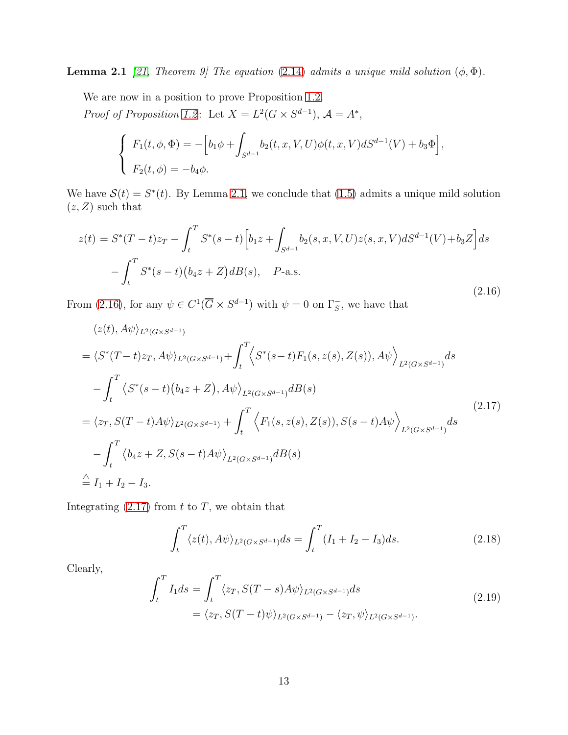**Lemma 2.1** [\[21,](#page-22-19) Theorem 9] The equation [\(2.14\)](#page-11-1) admits a unique mild solution  $(\phi, \Phi)$ .

We are now in a position to prove Proposition [1.2.](#page-4-1) Proof of Proposition [1.2](#page-4-1): Let  $X = L^2(G \times S^{d-1}), \mathcal{A} = A^*$ ,

$$
\begin{cases}\nF_1(t, \phi, \Phi) = -\Big[b_1 \phi + \int_{S^{d-1}} b_2(t, x, V, U) \phi(t, x, V) dS^{d-1}(V) + b_3 \Phi\Big], \\
F_2(t, \phi) = -b_4 \phi.\n\end{cases}
$$

We have  $\mathcal{S}(t) = S^*(t)$ . By Lemma [2.1,](#page-11-2) we conclude that [\(1.5\)](#page-4-0) admits a unique mild solution  $(z, Z)$  such that

<span id="page-12-0"></span>
$$
z(t) = S^*(T-t)z_T - \int_t^T S^*(s-t) \Big[ b_1 z + \int_{S^{d-1}} b_2(s, x, V, U) z(s, x, V) dS^{d-1}(V) + b_3 Z \Big] ds - \int_t^T S^*(s-t) \Big( b_4 z + Z \Big) dB(s), \quad P-\text{a.s.}
$$
\n(2.16)

From [\(2.16\)](#page-12-0), for any  $\psi \in C^1(\overline{G} \times S^{d-1})$  with  $\psi = 0$  on  $\Gamma_S^-$ , we have that

<span id="page-12-1"></span>
$$
\langle z(t), A\psi \rangle_{L^{2}(G\times S^{d-1})}
$$
  
=  $\langle S^{*}(T-t)z_{T}, A\psi \rangle_{L^{2}(G\times S^{d-1})} + \int_{t}^{T} \langle S^{*}(s-t)F_{1}(s, z(s), Z(s)), A\psi \rangle_{L^{2}(G\times S^{d-1})} ds$   
-  $\int_{t}^{T} \langle S^{*}(s-t) (b_{4}z + Z), A\psi \rangle_{L^{2}(G\times S^{d-1})} dB(s)$   
=  $\langle z_{T}, S(T-t)A\psi \rangle_{L^{2}(G\times S^{d-1})} + \int_{t}^{T} \langle F_{1}(s, z(s), Z(s)), S(s-t)A\psi \rangle_{L^{2}(G\times S^{d-1})} ds$   
-  $\int_{t}^{T} \langle b_{4}z + Z, S(s-t)A\psi \rangle_{L^{2}(G\times S^{d-1})} dB(s)$   
 $\stackrel{\triangle}{=} I_{1} + I_{2} - I_{3}.$  (2.17)

Integrating  $(2.17)$  from t to T, we obtain that

$$
\int_{t}^{T} \langle z(t), A\psi \rangle_{L^{2}(G \times S^{d-1})} ds = \int_{t}^{T} (I_{1} + I_{2} - I_{3}) ds.
$$
\n(2.18)

Clearly,

$$
\int_{t}^{T} I_{1} ds = \int_{t}^{T} \langle z_{T}, S(T - s) A \psi \rangle_{L^{2}(G \times S^{d-1})} ds
$$
\n
$$
= \langle z_{T}, S(T - t) \psi \rangle_{L^{2}(G \times S^{d-1})} - \langle z_{T}, \psi \rangle_{L^{2}(G \times S^{d-1})}. \tag{2.19}
$$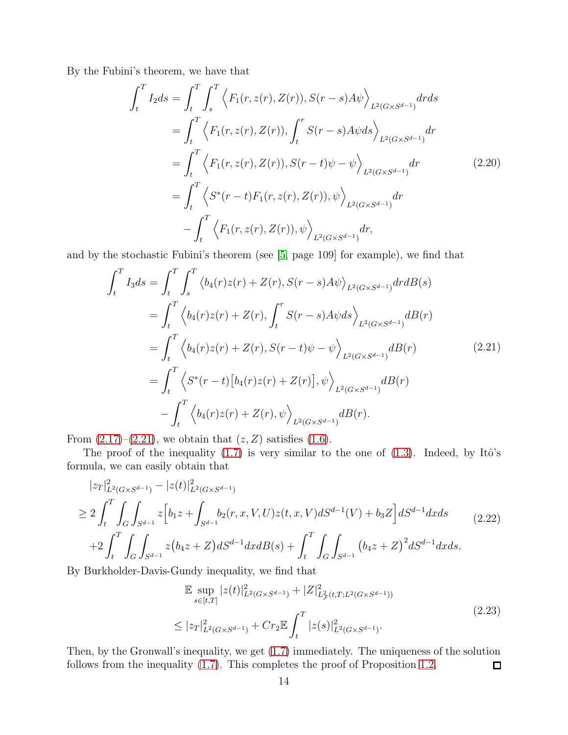By the Fubini's theorem, we have that

$$
\int_{t}^{T} I_{2} ds = \int_{t}^{T} \int_{s}^{T} \left\langle F_{1}(r, z(r), Z(r)), S(r - s) A \psi \right\rangle_{L^{2}(G \times S^{d-1})} dr ds \n= \int_{t}^{T} \left\langle F_{1}(r, z(r), Z(r)), \int_{t}^{r} S(r - s) A \psi ds \right\rangle_{L^{2}(G \times S^{d-1})} dr \n= \int_{t}^{T} \left\langle F_{1}(r, z(r), Z(r)), S(r - t) \psi - \psi \right\rangle_{L^{2}(G \times S^{d-1})} dr \n= \int_{t}^{T} \left\langle S^{*}(r - t) F_{1}(r, z(r), Z(r)), \psi \right\rangle_{L^{2}(G \times S^{d-1})} dr \n- \int_{t}^{T} \left\langle F_{1}(r, z(r), Z(r)), \psi \right\rangle_{L^{2}(G \times S^{d-1})} dr,
$$
\n(2.20)

and by the stochastic Fubini's theorem (see [\[5,](#page-21-6) page 109] for example), we find that

<span id="page-13-0"></span>
$$
\int_{t}^{T} I_{3} ds = \int_{t}^{T} \int_{s}^{T} \langle b_{4}(r)z(r) + Z(r), S(r - s)A\psi \rangle_{L^{2}(G \times S^{d-1})} dr dB(s)
$$
\n
$$
= \int_{t}^{T} \langle b_{4}(r)z(r) + Z(r), \int_{t}^{r} S(r - s)A\psi ds \rangle_{L^{2}(G \times S^{d-1})} dB(r)
$$
\n
$$
= \int_{t}^{T} \langle b_{4}(r)z(r) + Z(r), S(r - t)\psi - \psi \rangle_{L^{2}(G \times S^{d-1})} dB(r)
$$
\n
$$
= \int_{t}^{T} \langle S^{*}(r - t)[b_{4}(r)z(r) + Z(r)], \psi \rangle_{L^{2}(G \times S^{d-1})} dB(r)
$$
\n
$$
- \int_{t}^{T} \langle b_{4}(r)z(r) + Z(r), \psi \rangle_{L^{2}(G \times S^{d-1})} dB(r).
$$
\n(2.21)

From  $(2.17)$ – $(2.21)$ , we obtain that  $(z, Z)$  satisfies  $(1.6)$ .

The proof of the inequality  $(1.7)$  is very similar to the one of  $(1.3)$ . Indeed, by Itô's formula, we can easily obtain that

$$
|z_T|_{L^2(G\times S^{d-1})}^2 - |z(t)|_{L^2(G\times S^{d-1})}^2
$$
  
\n
$$
\geq 2 \int_t^T \int_G \int_{S^{d-1}} z \Big[ b_1 z + \int_{S^{d-1}} b_2(r, x, V, U) z(t, x, V) dS^{d-1}(V) + b_3 Z \Big] dS^{d-1} dx ds
$$
  
\n
$$
+ 2 \int_t^T \int_G \int_{S^{d-1}} z (b_4 z + Z) dS^{d-1} dx dB(s) + \int_t^T \int_G \int_{S^{d-1}} (b_4 z + Z)^2 dS^{d-1} dx ds.
$$
\n(2.22)

By Burkholder-Davis-Gundy inequality, we find that

$$
\mathbb{E} \sup_{s \in [t,T]} |z(t)|^2_{L^2(G \times S^{d-1})} + |Z|^2_{L^2_{\mathcal{F}}(t,T;L^2(G \times S^{d-1}))}
$$
\n
$$
\leq |z_T|^2_{L^2(G \times S^{d-1})} + Cr_2 \mathbb{E} \int_t^T |z(s)|^2_{L^2(G \times S^{d-1})}.
$$
\n(2.23)

Then, by the Gronwall's inequality, we get [\(1.7\)](#page-4-3) immediately. The uniqueness of the solution follows from the inequality [\(1.7\)](#page-4-3). This completes the proof of Proposition [1.2.](#page-4-1)  $\Box$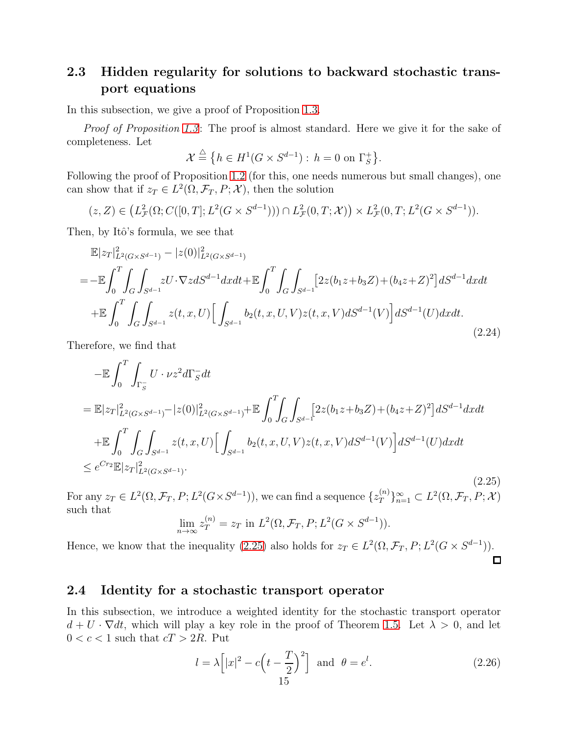#### 2.3 Hidden regularity for solutions to backward stochastic transport equations

In this subsection, we give a proof of Proposition [1.3.](#page-5-0)

*Proof of Proposition [1.3](#page-5-0)*: The proof is almost standard. Here we give it for the sake of completeness. Let

$$
\mathcal{X} \stackrel{\triangle}{=} \{ h \in H^1(G \times S^{d-1}) : h = 0 \text{ on } \Gamma_S^+ \}.
$$

Following the proof of Proposition [1.2](#page-4-1) (for this, one needs numerous but small changes), one can show that if  $z_T \in L^2(\Omega, \mathcal{F}_T, P; \mathcal{X})$ , then the solution

$$
(z, Z) \in (L^2_{\mathcal{F}}(\Omega; C([0, T]; L^2(G \times S^{d-1}))) \cap L^2_{\mathcal{F}}(0, T; \mathcal{X})) \times L^2_{\mathcal{F}}(0, T; L^2(G \times S^{d-1})).
$$

Then, by Itô's formula, we see that

$$
\mathbb{E}|z_T|_{L^2(G\times S^{d-1})}^2 - |z(0)|_{L^2(G\times S^{d-1})}^2
$$
\n
$$
= -\mathbb{E}\int_0^T \int_G \int_{S^{d-1}} zU \cdot \nabla z dS^{d-1} dx dt + \mathbb{E}\int_0^T \int_G \int_{S^{d-1}} [2z(b_1z + b_3z) + (b_4z + z)^2] dS^{d-1} dx dt
$$
\n
$$
+ \mathbb{E}\int_0^T \int_G \int_{S^{d-1}} z(t, x, U) \Big[ \int_{S^{d-1}} b_2(t, x, U, V) z(t, x, V) dS^{d-1}(V) \Big] dS^{d-1}(U) dx dt.
$$
\n(2.24)

Therefore, we find that

<span id="page-14-0"></span>
$$
-\mathbb{E}\int_{0}^{T}\int_{\Gamma_{S}^{-}}U\cdot\nu z^{2}d\Gamma_{S}^{-}dt
$$
\n
$$
=\mathbb{E}|z_{T}|_{L^{2}(G\times S^{d-1})}^{2}-|z(0)|_{L^{2}(G\times S^{d-1})}^{2}+\mathbb{E}\int_{0}^{T}\int_{G}\int_{S^{d-1}}[2z(b_{1}z+b_{3}Z)+(b_{4}z+Z)^{2}]dS^{d-1}dxdt
$$
\n
$$
+\mathbb{E}\int_{0}^{T}\int_{G}\int_{S^{d-1}}z(t,x,U)\Big[\int_{S^{d-1}}b_{2}(t,x,U,V)z(t,x,V)dS^{d-1}(V)\Big]dS^{d-1}(U)dxdt
$$
\n
$$
\leq e^{Cr_{2}}\mathbb{E}|z_{T}|_{L^{2}(G\times S^{d-1})}^{2}.
$$
\n(2.25)

For any  $z_T \in L^2(\Omega, \mathcal{F}_T, P; L^2(G \times S^{d-1}))$ , we can find a sequence  $\{z_T^{(n)}\}$  $\{T^{(n)}\}_{n=1}^{\infty} \subset L^2(\Omega, \mathcal{F}_T, P; \mathcal{X})$ such that

$$
\lim_{n \to \infty} z_T^{(n)} = z_T \text{ in } L^2(\Omega, \mathcal{F}_T, P; L^2(G \times S^{d-1})).
$$

Hence, we know that the inequality [\(2.25\)](#page-14-0) also holds for  $z_T \in L^2(\Omega, \mathcal{F}_T, P; L^2(G \times S^{d-1}))$ .

 $\Box$ 

#### 2.4 Identity for a stochastic transport operator

In this subsection, we introduce a weighted identity for the stochastic transport operator  $d + U \cdot \nabla dt$ , which will play a key role in the proof of Theorem [1.5.](#page-5-3) Let  $\lambda > 0$ , and let  $0 < c < 1$  such that  $cT > 2R$ . Put

$$
l = \lambda \left[ |x|^2 - c \left( t - \frac{T}{2} \right)^2 \right] \quad \text{and} \quad \theta = e^l. \tag{2.26}
$$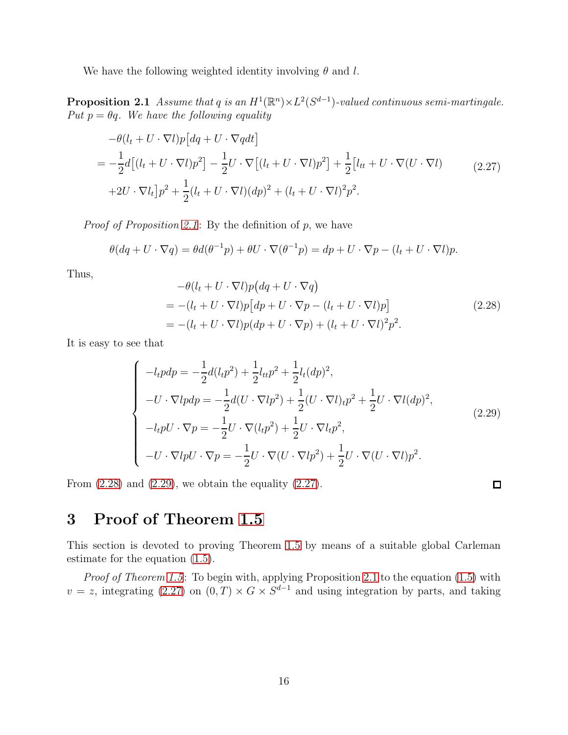<span id="page-15-0"></span>We have the following weighted identity involving  $\theta$  and l.

**Proposition 2.1** Assume that q is an  $H^1(\mathbb{R}^n) \times L^2(S^{d-1})$ -valued continuous semi-martingale. Put  $p = \theta q$ . We have the following equality

<span id="page-15-3"></span>
$$
-\theta(l_t + U \cdot \nabla l)p\left[dq + U \cdot \nabla qdt\right]
$$
  
= 
$$
-\frac{1}{2}d\left[(l_t + U \cdot \nabla l)p^2\right] - \frac{1}{2}U \cdot \nabla\left[(l_t + U \cdot \nabla l)p^2\right] + \frac{1}{2}\left[l_{tt} + U \cdot \nabla(U \cdot \nabla l)\right]
$$
  
+2U \cdot \nabla l\_t\right]p^2 + \frac{1}{2}(l\_t + U \cdot \nabla l)(dp)^2 + (l\_t + U \cdot \nabla l)^2p^2. (2.27)

*Proof of Proposition [2.1](#page-15-0)*: By the definition of  $p$ , we have

$$
\theta(dq + U \cdot \nabla q) = \theta d(\theta^{-1}p) + \theta U \cdot \nabla(\theta^{-1}p) = dp + U \cdot \nabla p - (l_t + U \cdot \nabla l)p.
$$

Thus,

<span id="page-15-1"></span>
$$
-\theta(l_t + U \cdot \nabla l)p(dq + U \cdot \nabla q)
$$
  
= 
$$
-(l_t + U \cdot \nabla l)p[dp + U \cdot \nabla p - (l_t + U \cdot \nabla l)p]
$$
  
= 
$$
-(l_t + U \cdot \nabla l)p(dp + U \cdot \nabla p) + (l_t + U \cdot \nabla l)^2p^2.
$$
 (2.28)

It is easy to see that

<span id="page-15-2"></span>
$$
\begin{cases}\n-l_t p dp = -\frac{1}{2} d(l_t p^2) + \frac{1}{2} l_{tt} p^2 + \frac{1}{2} l_t (dp)^2, \\
-U \cdot \nabla l p dp = -\frac{1}{2} d(U \cdot \nabla l p^2) + \frac{1}{2} (U \cdot \nabla l) t p^2 + \frac{1}{2} U \cdot \nabla l (dp)^2, \\
-l_t p U \cdot \nabla p = -\frac{1}{2} U \cdot \nabla (l_t p^2) + \frac{1}{2} U \cdot \nabla l_t p^2, \\
-U \cdot \nabla l p U \cdot \nabla p = -\frac{1}{2} U \cdot \nabla (U \cdot \nabla l p^2) + \frac{1}{2} U \cdot \nabla (U \cdot \nabla l) p^2.\n\end{cases} (2.29)
$$

From  $(2.28)$  and  $(2.29)$ , we obtain the equality  $(2.27)$ .

 $\Box$ 

# 3 Proof of Theorem [1.5](#page-5-3)

This section is devoted to proving Theorem [1.5](#page-5-3) by means of a suitable global Carleman estimate for the equation [\(1.5\)](#page-4-0).

*Proof of Theorem [1.5](#page-5-3)*: To begin with, applying Proposition [2.1](#page-15-0) to the equation [\(1.5\)](#page-4-0) with  $v = z$ , integrating [\(2.27\)](#page-15-3) on  $(0, T) \times G \times S^{d-1}$  and using integration by parts, and taking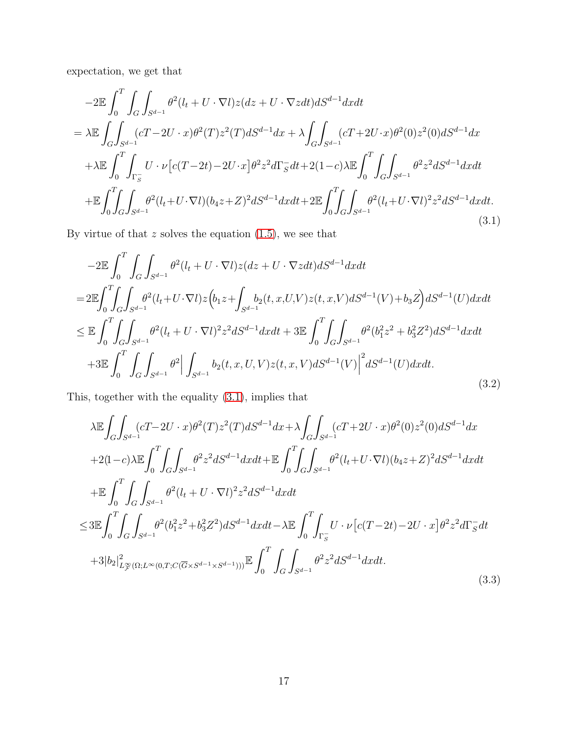expectation, we get that

<span id="page-16-0"></span>
$$
-2\mathbb{E}\int_{0}^{T}\int_{G}\int_{S^{d-1}}\theta^{2}(l_{t}+U\cdot\nabla l)z(dz+U\cdot\nabla zdt)dS^{d-1}dxdt
$$
\n
$$
= \lambda \mathbb{E}\int_{G}\int_{S^{d-1}}(cT-2U\cdot x)\theta^{2}(T)z^{2}(T)dS^{d-1}dx + \lambda \int_{G}\int_{S^{d-1}}(cT+2U\cdot x)\theta^{2}(0)z^{2}(0)dS^{d-1}dx
$$
\n
$$
+ \lambda \mathbb{E}\int_{0}^{T}\int_{\Gamma_{S}^{-}}U\cdot\nu[c(T-2t)-2U\cdot x]\theta^{2}z^{2}d\Gamma_{S}^{-}dt + 2(1-c)\lambda \mathbb{E}\int_{0}^{T}\int_{G}\int_{S^{d-1}}\theta^{2}z^{2}dS^{d-1}dxdt
$$
\n
$$
+ \mathbb{E}\int_{0}^{T}\int_{G}\int_{S^{d-1}}\theta^{2}(l_{t}+U\cdot\nabla l)(b_{4}z+Z)^{2}dS^{d-1}dxdt + 2\mathbb{E}\int_{0}^{T}\int_{G}\int_{S^{d-1}}\theta^{2}(l_{t}+U\cdot\nabla l)^{2}z^{2}dS^{d-1}dxdt.
$$
\n(3.1)

By virtue of that  $z$  solves the equation  $(1.5)$ , we see that

$$
-2\mathbb{E}\int_{0}^{T}\int_{G}\int_{S^{d-1}}\theta^{2}(l_{t}+U\cdot\nabla l)z(dz+U\cdot\nabla zdt)dS^{d-1}dxdt
$$
\n
$$
=2\mathbb{E}\int_{0}^{T}\int_{G}\int_{S^{d-1}}\theta^{2}(l_{t}+U\cdot\nabla l)z\Big(b_{1}z+\int_{S^{d-1}}b_{2}(t,x,U,V)z(t,x,V)dS^{d-1}(V)+b_{3}Z\Big)dS^{d-1}(U)dxdt
$$
\n
$$
\leq \mathbb{E}\int_{0}^{T}\int_{G}\int_{S^{d-1}}\theta^{2}(l_{t}+U\cdot\nabla l)^{2}z^{2}dS^{d-1}dxdt+3\mathbb{E}\int_{0}^{T}\int_{G}\int_{S^{d-1}}\theta^{2}(b_{1}^{2}z^{2}+b_{3}^{2}Z^{2})dS^{d-1}dxdt
$$
\n
$$
+3\mathbb{E}\int_{0}^{T}\int_{G}\int_{S^{d-1}}\theta^{2}\Big|\int_{S^{d-1}}b_{2}(t,x,U,V)z(t,x,V)dS^{d-1}(V)\Big|^{2}dS^{d-1}(U)dxdt.
$$
\n(3.2)

This, together with the equality [\(3.1\)](#page-16-0), implies that

<span id="page-16-1"></span>
$$
\lambda \mathbb{E} \int_{G} \int_{S^{d-1}} (cT - 2U \cdot x) \theta^{2}(T) z^{2}(T) dS^{d-1} dx + \lambda \int_{G} \int_{S^{d-1}} (cT + 2U \cdot x) \theta^{2}(0) z^{2}(0) dS^{d-1} dx \n+ 2(1-c) \lambda \mathbb{E} \int_{0}^{T} \int_{G} \int_{S^{d-1}} \theta^{2} z^{2} dS^{d-1} dx dt + \mathbb{E} \int_{0}^{T} \int_{G} \int_{S^{d-1}} \theta^{2}(l_{t} + U \cdot \nabla l) (b_{4} z + Z)^{2} dS^{d-1} dx dt \n+ \mathbb{E} \int_{0}^{T} \int_{G} \int_{S^{d-1}} \theta^{2}(l_{t} + U \cdot \nabla l)^{2} z^{2} dS^{d-1} dx dt \n\leq 3 \mathbb{E} \int_{0}^{T} \int_{G} \int_{S^{d-1}} \theta^{2}(b_{1}^{2} z^{2} + b_{3}^{2} Z^{2}) dS^{d-1} dx dt - \lambda \mathbb{E} \int_{0}^{T} \int_{\Gamma_{S}^{-}} U \cdot \nu \left[ c(T - 2t) - 2U \cdot x \right] \theta^{2} z^{2} d\Gamma_{S}^{-} dt \n+ 3|b_{2}|^{2}_{L^{\infty}_{F}(\Omega; L^{\infty}(0, T; C(\overline{G} \times S^{d-1} \times S^{d-1})))} \mathbb{E} \int_{0}^{T} \int_{G} \int_{S^{d-1}} \theta^{2} z^{2} dS^{d-1} dx dt.
$$
\n(3.3)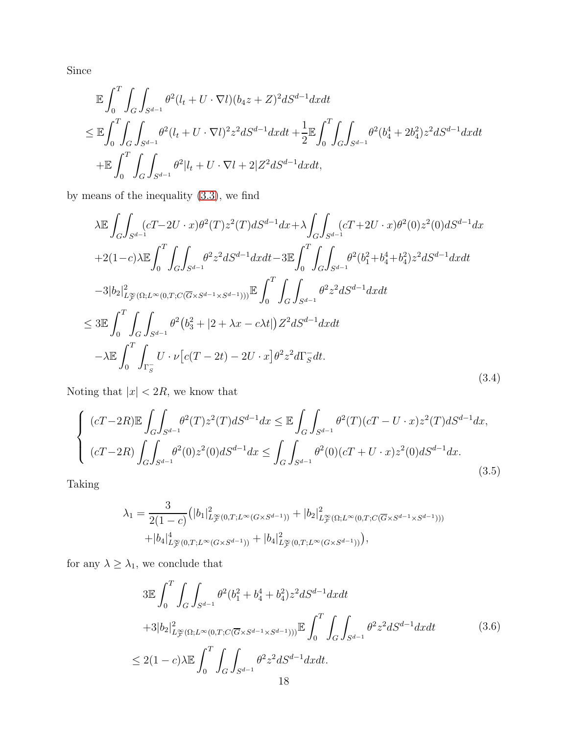Since

$$
\mathbb{E} \int_{0}^{T} \int_{G} \int_{S^{d-1}} \theta^{2}(l_{t} + U \cdot \nabla l)(b_{4}z + Z)^{2} dS^{d-1} dx dt
$$
\n
$$
\leq \mathbb{E} \int_{0}^{T} \int_{G} \int_{S^{d-1}} \theta^{2}(l_{t} + U \cdot \nabla l)^{2} z^{2} dS^{d-1} dx dt + \frac{1}{2} \mathbb{E} \int_{0}^{T} \int_{G} \int_{S^{d-1}} \theta^{2}(b_{4}^{4} + 2b_{4}^{2}) z^{2} dS^{d-1} dx dt
$$
\n
$$
+ \mathbb{E} \int_{0}^{T} \int_{G} \int_{S^{d-1}} \theta^{2}|l_{t} + U \cdot \nabla l + 2|Z^{2} dS^{d-1} dx dt,
$$

by means of the inequality [\(3.3\)](#page-16-1), we find

<span id="page-17-0"></span>
$$
\lambda \mathbb{E} \int_{G} \int_{S^{d-1}} (cT - 2U \cdot x) \theta^{2}(T) z^{2}(T) dS^{d-1} dx + \lambda \int_{G} \int_{S^{d-1}} (cT + 2U \cdot x) \theta^{2}(0) z^{2}(0) dS^{d-1} dx \n+ 2(1-c) \lambda \mathbb{E} \int_{0}^{T} \int_{G} \int_{S^{d-1}} \theta^{2} z^{2} dS^{d-1} dx dt - 3 \mathbb{E} \int_{0}^{T} \int_{G} \int_{S^{d-1}} \theta^{2} (b_{1}^{2} + b_{4}^{4} + b_{4}^{2}) z^{2} dS^{d-1} dx dt \n- 3|b_{2}|_{L_{\mathcal{F}}^{\infty}(\Omega; L^{\infty}(0, T; C(\overline{G} \times S^{d-1} \times S^{d-1}))) \mathbb{E} \int_{0}^{T} \int_{G} \int_{S^{d-1}} \theta^{2} z^{2} dS^{d-1} dx dt \n\leq 3 \mathbb{E} \int_{0}^{T} \int_{G} \int_{S^{d-1}} \theta^{2} (b_{3}^{2} + |2 + \lambda x - c\lambda t|) Z^{2} dS^{d-1} dx dt \n- \lambda \mathbb{E} \int_{0}^{T} \int_{\Gamma_{S}^{-}} U \cdot \nu \left[ c(T - 2t) - 2U \cdot x \right] \theta^{2} z^{2} d\Gamma_{S}^{-} dt.
$$
\n(3.4)

Noting that  $\vert x \vert < 2R,$  we know that

$$
\begin{cases}\n(cT-2R)\mathbb{E}\int_{G}\int_{S^{d-1}}\theta^{2}(T)z^{2}(T)dS^{d-1}dx \leq \mathbb{E}\int_{G}\int_{S^{d-1}}\theta^{2}(T)(cT-U\cdot x)z^{2}(T)dS^{d-1}dx, \\
(cT-2R)\int_{G}\int_{S^{d-1}}\theta^{2}(0)z^{2}(0)dS^{d-1}dx \leq \int_{G}\int_{S^{d-1}}\theta^{2}(0)(cT+U\cdot x)z^{2}(0)dS^{d-1}dx.\n\end{cases}
$$
\n(3.5)

Taking

$$
\lambda_1 = \frac{3}{2(1-c)} \left( |b_1|_{L^{\infty}_F(0,T;L^{\infty}(G \times S^{d-1}))}^2 + |b_2|_{L^{\infty}_F(\Omega;L^{\infty}(0,T;C(\overline{G} \times S^{d-1} \times S^{d-1})))}^2 + |b_4|_{L^{\infty}_F(0,T;L^{\infty}(G \times S^{d-1}))}^4 + |b_4|_{L^{\infty}_F(0,T;L^{\infty}(G \times S^{d-1}))}^2 \right)
$$

for any  $\lambda \geq \lambda_1,$  we conclude that

<span id="page-17-1"></span>
$$
3\mathbb{E} \int_{0}^{T} \int_{G} \int_{S^{d-1}} \theta^{2} (b_{1}^{2} + b_{4}^{4} + b_{4}^{2}) z^{2} dS^{d-1} dx dt
$$
  
+3|b<sub>2</sub>|<sup>2</sup><sub>L $\mathcal{F}(\Omega; L^{\infty}(0, T; C(\overline{G} \times S^{d-1} \times S^{d-1})))$  $\mathbb{E} \int_{0}^{T} \int_{G} \int_{S^{d-1}} \theta^{2} z^{2} dS^{d-1} dx dt$  (3.6)  
 $\leq 2(1-c)\lambda \mathbb{E} \int_{0}^{T} \int_{G} \int_{S^{d-1}} \theta^{2} z^{2} dS^{d-1} dx dt$ .</sub>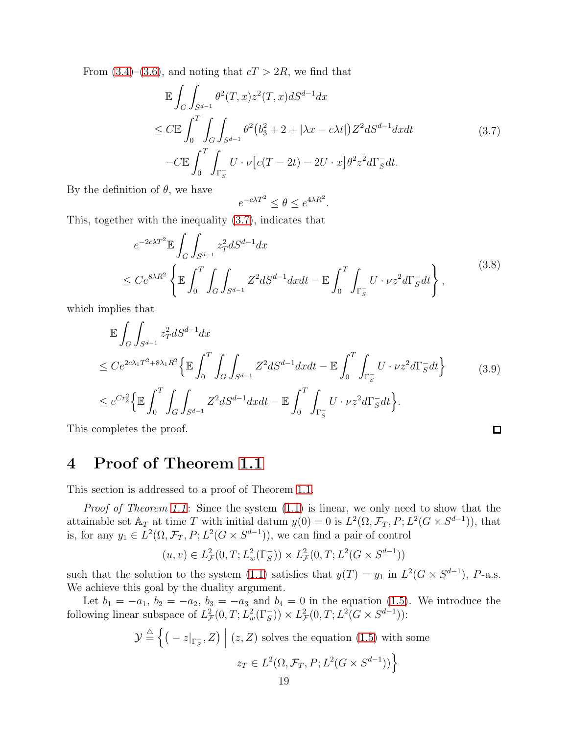From  $(3.4)$ – $(3.6)$ , and noting that  $cT > 2R$ , we find that

<span id="page-18-0"></span>
$$
\mathbb{E}\int_{G}\int_{S^{d-1}}\theta^{2}(T,x)z^{2}(T,x)dS^{d-1}dx
$$
\n
$$
\leq C\mathbb{E}\int_{0}^{T}\int_{G}\int_{S^{d-1}}\theta^{2}(b_{3}^{2}+2+|\lambda x-c\lambda t|)Z^{2}dS^{d-1}dxdt
$$
\n
$$
-C\mathbb{E}\int_{0}^{T}\int_{\Gamma_{S}^{-}}U\cdot\nu[c(T-2t)-2U\cdot x]\theta^{2}z^{2}d\Gamma_{S}^{-}dt.
$$
\n(3.7)

By the definition of  $\theta$ , we have

$$
e^{-c\lambda T^2} \le \theta \le e^{4\lambda R^2}.
$$

This, together with the inequality [\(3.7\)](#page-18-0), indicates that

$$
e^{-2c\lambda T^{2}} \mathbb{E} \int_{G} \int_{S^{d-1}} z_{T}^{2} dS^{d-1} dx
$$
  
 
$$
\leq Ce^{8\lambda R^{2}} \left\{ \mathbb{E} \int_{0}^{T} \int_{G} \int_{S^{d-1}} Z^{2} dS^{d-1} dx dt - \mathbb{E} \int_{0}^{T} \int_{\Gamma_{S}^{-}} U \cdot \nu z^{2} d\Gamma_{S}^{-} dt \right\},
$$
 (3.8)

which implies that

$$
\mathbb{E} \int_{G} \int_{S^{d-1}} z_T^2 dS^{d-1} dx
$$
\n
$$
\leq C e^{2c\lambda_1 T^2 + 8\lambda_1 R^2} \left\{ \mathbb{E} \int_0^T \int_G \int_{S^{d-1}} Z^2 dS^{d-1} dx dt - \mathbb{E} \int_0^T \int_{\Gamma_S} U \cdot \nu z^2 d\Gamma_S^- dt \right\} \tag{3.9}
$$
\n
$$
\leq e^{C r_2^2} \left\{ \mathbb{E} \int_0^T \int_G \int_{S^{d-1}} Z^2 dS^{d-1} dx dt - \mathbb{E} \int_0^T \int_{\Gamma_S} U \cdot \nu z^2 d\Gamma_S^- dt \right\}.
$$

 $\Box$ 

This completes the proof.

# 4 Proof of Theorem [1.1](#page-2-1)

This section is addressed to a proof of Theorem [1.1.](#page-2-1)

*Proof of Theorem [1.1](#page-2-1)*: Since the system  $(1.1)$  is linear, we only need to show that the attainable set  $\mathbb{A}_T$  at time T with initial datum  $y(0) = 0$  is  $L^2(\Omega, \mathcal{F}_T, P; L^2(G \times S^{d-1}))$ , that is, for any  $y_1 \in L^2(\Omega, \mathcal{F}_T, P; L^2(G \times S^{d-1}))$ , we can find a pair of control

$$
(u, v) \in L^2_{\mathcal{F}}(0, T; L^2_w(\Gamma_S^-)) \times L^2_{\mathcal{F}}(0, T; L^2(G \times S^{d-1}))
$$

such that the solution to the system [\(1.1\)](#page-1-0) satisfies that  $y(T) = y_1$  in  $L^2(G \times S^{d-1})$ , P-a.s. We achieve this goal by the duality argument.

Let  $b_1 = -a_1, b_2 = -a_2, b_3 = -a_3$  and  $b_4 = 0$  in the equation [\(1.5\)](#page-4-0). We introduce the following linear subspace of  $L^2_{\mathcal{F}}(0,T;L^2_w(\Gamma_S^-)) \times L^2_{\mathcal{F}}(0,T;L^2(G \times S^{d-1}))$ :

$$
\mathcal{Y} \stackrel{\triangle}{=} \left\{ \left( -z|_{\Gamma_{S}^{-}}, Z \right) \middle| (z, Z) \text{ solves the equation (1.5) with some}
$$
\n
$$
z_T \in L^2(\Omega, \mathcal{F}_T, P; L^2(G \times S^{d-1})) \right\}
$$
\n
$$
= \frac{10}{\pi} \sum_{i=1}^{d-1} \left( \frac{1}{\pi} \sum_{j=1}^{d-1} \frac{1}{j} \sum_{j=1}^{d-1} \frac{1}{j} \sum_{j=1}^{d-1} \frac{1}{j} \sum_{j=1}^{d-1} \frac{1}{j} \sum_{j=1}^{d-1} \frac{1}{j} \sum_{j=1}^{d-1} \frac{1}{j} \sum_{j=1}^{d-1} \frac{1}{j} \sum_{j=1}^{d-1} \frac{1}{j} \sum_{j=1}^{d-1} \frac{1}{j} \sum_{j=1}^{d-1} \frac{1}{j} \sum_{j=1}^{d-1} \frac{1}{j} \sum_{j=1}^{d-1} \frac{1}{j} \sum_{j=1}^{d-1} \frac{1}{j} \sum_{j=1}^{d-1} \frac{1}{j} \sum_{j=1}^{d-1} \frac{1}{j} \sum_{j=1}^{d-1} \frac{1}{j} \sum_{j=1}^{d-1} \frac{1}{j} \sum_{j=1}^{d-1} \frac{1}{j} \sum_{j=1}^{d-1} \frac{1}{j} \sum_{j=1}^{d-1} \frac{1}{j} \sum_{j=1}^{d-1} \frac{1}{j} \sum_{j=1}^{d-1} \frac{1}{j} \sum_{j=1}^{d-1} \frac{1}{j} \sum_{j=1}^{d-1} \frac{1}{j} \sum_{j=1}^{d-1} \frac{1}{j} \sum_{j=1}^{d-1} \frac{1}{j} \sum_{j=1}^{d-1} \frac{1}{j} \sum_{j=1}^{d-1} \frac{1}{j} \sum_{j=1}^{d-1} \frac{1}{j} \sum_{j=1}^{d-1} \frac{1}{j} \sum_{j=1}^{d-1} \frac{1}{j} \sum_{j=1}^{d-1} \frac{1}{j} \sum_{j=1}^{
$$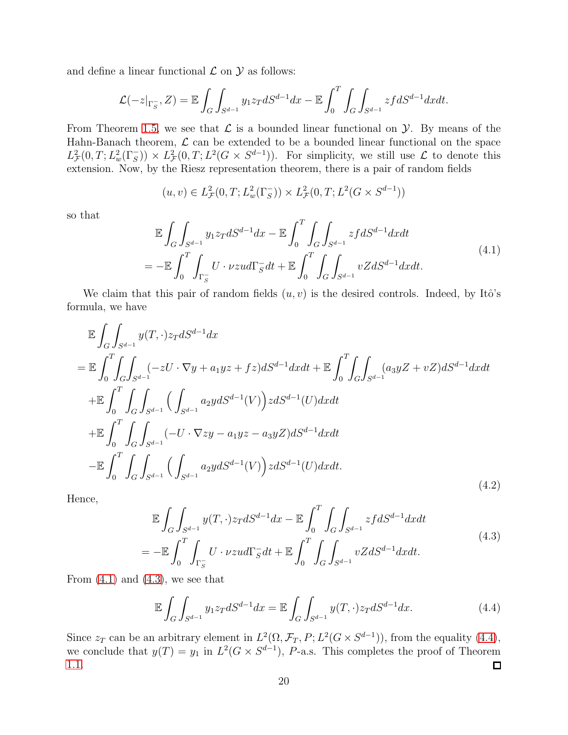and define a linear functional  $\mathcal L$  on  $\mathcal Y$  as follows:

$$
\mathcal{L}(-z|_{\Gamma_{S}^{-}}, Z) = \mathbb{E} \int_{G} \int_{S^{d-1}} y_1 z_T dS^{d-1} dx - \mathbb{E} \int_0^T \int_{G} \int_{S^{d-1}} z f dS^{d-1} dx dt.
$$

From Theorem [1.5,](#page-5-3) we see that  $\mathcal L$  is a bounded linear functional on  $\mathcal Y$ . By means of the Hahn-Banach theorem,  $\mathcal L$  can be extended to be a bounded linear functional on the space  $L^2_{\mathcal{F}}(0,T; L^2_w(\Gamma_s^-)) \times L^2_{\mathcal{F}}(0,T; L^2(G \times S^{d-1})).$  For simplicity, we still use  $\mathcal{L}$  to denote this extension. Now, by the Riesz representation theorem, there is a pair of random fields

$$
(u, v) \in L^2_{\mathcal{F}}(0, T; L^2_w(\Gamma_S^-)) \times L^2_{\mathcal{F}}(0, T; L^2(G \times S^{d-1}))
$$

so that

<span id="page-19-0"></span>
$$
\mathbb{E}\int_{G}\int_{S^{d-1}}y_{1}z_{T}dS^{d-1}dx - \mathbb{E}\int_{0}^{T}\int_{G}\int_{S^{d-1}}zfdS^{d-1}dxdt
$$
\n
$$
= -\mathbb{E}\int_{0}^{T}\int_{\Gamma_{S}^{-}}U\cdot\nu zud\Gamma_{S}^{-}dt + \mathbb{E}\int_{0}^{T}\int_{G}\int_{S^{d-1}}vZdS^{d-1}dxdt.
$$
\n(4.1)

We claim that this pair of random fields  $(u, v)$  is the desired controls. Indeed, by Itô's formula, we have

$$
\mathbb{E}\int_{G}\int_{S^{d-1}}y(T,\cdot)z_{T}dS^{d-1}dx
$$
\n
$$
= \mathbb{E}\int_{0}^{T}\int_{G}\int_{S^{d-1}}(-zU\cdot\nabla y + a_{1}yz + fz)dS^{d-1}dxdt + \mathbb{E}\int_{0}^{T}\int_{G}\int_{S^{d-1}}(a_{3}yz + vZ)dS^{d-1}dxdt
$$
\n
$$
+ \mathbb{E}\int_{0}^{T}\int_{G}\int_{S^{d-1}}\left(\int_{S^{d-1}}a_{2}y dS^{d-1}(V)\right)zdS^{d-1}(U)dxdt
$$
\n
$$
+ \mathbb{E}\int_{0}^{T}\int_{G}\int_{S^{d-1}}(-U\cdot\nabla zy - a_{1}yz - a_{3}yZ)dS^{d-1}dxdt
$$
\n
$$
- \mathbb{E}\int_{0}^{T}\int_{G}\int_{S^{d-1}}\left(\int_{S^{d-1}}a_{2}y dS^{d-1}(V)\right)zdS^{d-1}(U)dxdt.
$$
\n(4.2)

Hence,

$$
\mathbb{E}\int_G \int_{S^{d-1}} y(T,\cdot)z_T dS^{d-1} dx - \mathbb{E}\int_0^T \int_G \int_{S^{d-1}} z f dS^{d-1} dx dt
$$
\n(4.3)

<span id="page-19-1"></span>
$$
=-\mathbb{E}\int_0^T\int_{\Gamma_S}U\cdot\nu zud\Gamma_S^-dt+\mathbb{E}\int_0^T\int_G\int_{S^{d-1}}vZdS^{d-1}dxdt.
$$

From  $(4.1)$  and  $(4.3)$ , we see that

<span id="page-19-2"></span>
$$
\mathbb{E}\int_{G}\int_{S^{d-1}} y_1 z_T dS^{d-1} dx = \mathbb{E}\int_{G}\int_{S^{d-1}} y(T,\cdot) z_T dS^{d-1} dx.
$$
 (4.4)

Since  $z_T$  can be an arbitrary element in  $L^2(\Omega, \mathcal{F}_T, P; L^2(G \times S^{d-1}))$ , from the equality [\(4.4\)](#page-19-2), we conclude that  $y(T) = y_1$  in  $L^2(G \times S^{d-1})$ , *P*-a.s. This completes the proof of Theorem [1.1.](#page-2-1) ◘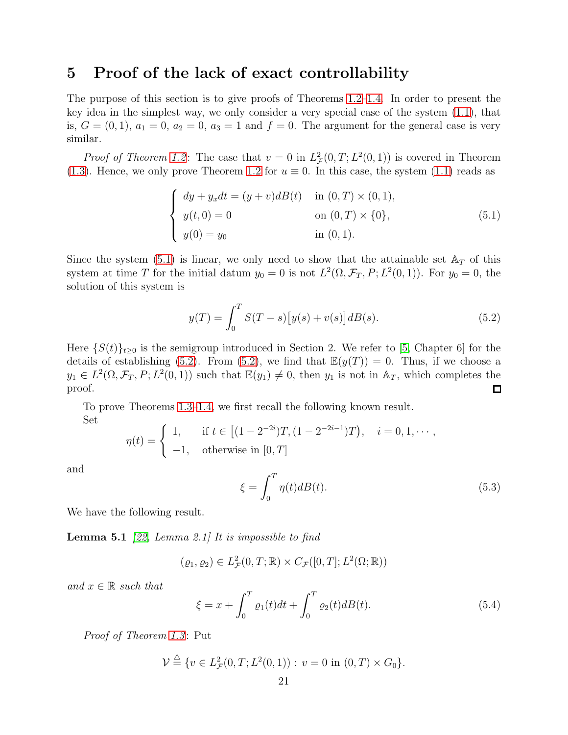## 5 Proof of the lack of exact controllability

The purpose of this section is to give proofs of Theorems [1.2–](#page-3-1)[1.4.](#page-3-2) In order to present the key idea in the simplest way, we only consider a very special case of the system [\(1.1\)](#page-1-0), that is,  $G = (0, 1)$ ,  $a_1 = 0$ ,  $a_2 = 0$ ,  $a_3 = 1$  and  $f = 0$ . The argument for the general case is very similar.

*Proof of Theorem [1.2](#page-3-1)*: The case that  $v = 0$  in  $L^2_{\mathcal{F}}(0,T; L^2(0,1))$  is covered in Theorem [\(1.3\)](#page-3-3). Hence, we only prove Theorem [1.2](#page-3-1) for  $u \equiv 0$ . In this case, the system [\(1.1\)](#page-1-0) reads as

<span id="page-20-0"></span>
$$
\begin{cases}\n dy + y_x dt = (y + v) dB(t) & \text{in } (0, T) \times (0, 1), \\
 y(t, 0) = 0 & \text{on } (0, T) \times \{0\}, \\
 y(0) = y_0 & \text{in } (0, 1).\n\end{cases}
$$
\n(5.1)

Since the system [\(5.1\)](#page-20-0) is linear, we only need to show that the attainable set  $A_T$  of this system at time T for the initial datum  $y_0 = 0$  is not  $L^2(\Omega, \mathcal{F}_T, P; L^2(0, 1))$ . For  $y_0 = 0$ , the solution of this system is

<span id="page-20-1"></span>
$$
y(T) = \int_0^T S(T - s) [y(s) + v(s)] dB(s).
$$
 (5.2)

Here  $\{S(t)\}_t>0$  is the semigroup introduced in Section 2. We refer to [\[5,](#page-21-6) Chapter 6] for the details of establishing [\(5.2\)](#page-20-1). From (5.2), we find that  $\mathbb{E}(y(T)) = 0$ . Thus, if we choose a  $y_1 \in L^2(\Omega, \mathcal{F}_T, P; L^2(0, 1))$  such that  $\mathbb{E}(y_1) \neq 0$ , then  $y_1$  is not in  $\mathbb{A}_T$ , which completes the proof. 口

To prove Theorems [1.3](#page-3-3)[–1.4,](#page-3-2) we first recall the following known result. Set

$$
\eta(t) = \begin{cases} 1, & \text{if } t \in [(1 - 2^{-2i})T, (1 - 2^{-2i-1})T), & i = 0, 1, \dots, \\ -1, & \text{otherwise in } [0, T] \end{cases}
$$

and

<span id="page-20-2"></span>
$$
\xi = \int_0^T \eta(t) dB(t). \tag{5.3}
$$

<span id="page-20-3"></span>We have the following result.

**Lemma 5.1** [\[22,](#page-22-20) Lemma 2.1] It is impossible to find

$$
(\varrho_1, \varrho_2) \in L^2_{\mathcal{F}}(0,T;\mathbb{R}) \times C_{\mathcal{F}}([0,T];L^2(\Omega;\mathbb{R}))
$$

and  $x \in \mathbb{R}$  such that

$$
\xi = x + \int_0^T \varrho_1(t)dt + \int_0^T \varrho_2(t)dB(t).
$$
 (5.4)

Proof of Theorem [1.3](#page-3-3): Put

$$
\mathcal{V} \stackrel{\triangle}{=} \{ v \in L^2_{\mathcal{F}}(0,T;L^2(0,1)) : v = 0 \text{ in } (0,T) \times G_0 \}.
$$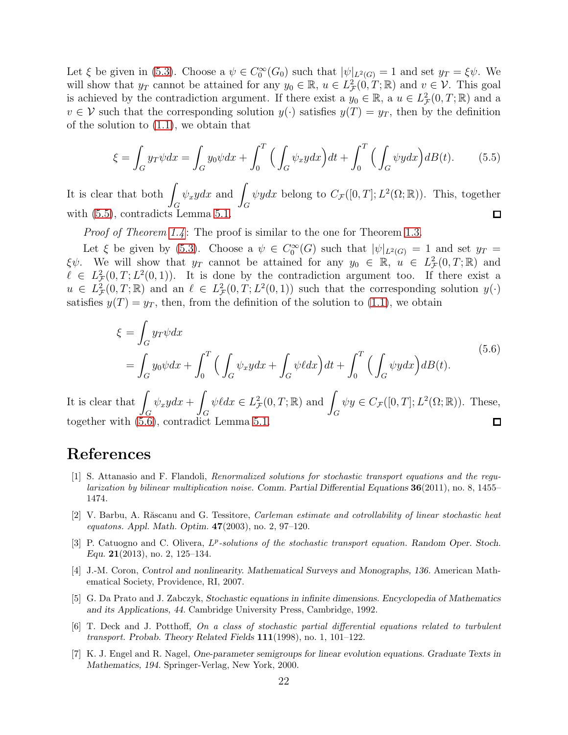Let  $\xi$  be given in [\(5.3\)](#page-20-2). Choose a  $\psi \in C_0^{\infty}(G_0)$  such that  $|\psi|_{L^2(G)} = 1$  and set  $y_T = \xi \psi$ . We will show that  $y_T$  cannot be attained for any  $y_0 \in \mathbb{R}$ ,  $u \in L^2_{\mathcal{F}}(0,T;\mathbb{R})$  and  $v \in \mathcal{V}$ . This goal is achieved by the contradiction argument. If there exist a  $y_0 \in \mathbb{R}$ , a  $u \in L^2_{\mathcal{F}}(0,T;\mathbb{R})$  and a  $v \in V$  such that the corresponding solution  $y(\cdot)$  satisfies  $y(T) = y_T$ , then by the definition of the solution to [\(1.1\)](#page-1-0), we obtain that

<span id="page-21-7"></span>
$$
\xi = \int_G y_T \psi dx = \int_G y_0 \psi dx + \int_0^T \Big( \int_G \psi_x y dx \Big) dt + \int_0^T \Big( \int_G \psi_y dx \Big) dB(t). \tag{5.5}
$$

It is clear that both  $\int$  $\psi_x y dx$  and  $\Box$  $\psi y dx$  belong to  $C_{\mathcal{F}}([0,T];L^2(\Omega;\mathbb{R}))$ . This, together G G with  $(5.5)$ , contradicts Lemma [5.1.](#page-20-3)  $\Box$ 

*Proof of Theorem [1.4](#page-3-2)*: The proof is similar to the one for Theorem [1.3.](#page-3-3)

Let  $\xi$  be given by [\(5.3\)](#page-20-2). Choose a  $\psi \in C_0^{\infty}(G)$  such that  $|\psi|_{L^2(G)} = 1$  and set  $y_T =$  $\xi\psi$ . We will show that  $y_T$  cannot be attained for any  $y_0 \in \mathbb{R}$ ,  $u \in L^2_{\mathcal{F}}(0,T;\mathbb{R})$  and  $\ell \in L^2_{\mathcal{F}}(0,T;L^2(0,1)).$  It is done by the contradiction argument too. If there exist a  $u \in L^2_{\mathcal{F}}(0,T;\mathbb{R})$  and an  $\ell \in L^2_{\mathcal{F}}(0,T;L^2(0,1))$  such that the corresponding solution  $y(\cdot)$ satisfies  $y(T) = y_T$ , then, from the definition of the solution to [\(1.1\)](#page-1-0), we obtain

<span id="page-21-8"></span>
$$
\xi = \int_G y_T \psi dx
$$
  
=  $\int_G y_0 \psi dx + \int_0^T \Big( \int_G \psi_x y dx + \int_G \psi dx \Big) dt + \int_0^T \Big( \int_G \psi_y dx \Big) dB(t).$  (5.6)

It is clear that  $\int$ Z  $\psi \ell dx \in L^2_{\mathcal{F}}(0,T;\mathbb{R})$  and  $\int_G$  $\psi y \in C_{\mathcal{F}}([0,T]; L^2(\Omega;\mathbb{R}))$ . These,  $\psi_x y dx +$ G G together with [\(5.6\)](#page-21-8), contradict Lemma [5.1.](#page-20-3) 口

### <span id="page-21-0"></span>References

- [1] S. Attanasio and F. Flandoli, Renormalized solutions for stochastic transport equations and the regularization by bilinear multiplication noise. Comm. Partial Differential Equations 36(2011), no. 8, 1455– 1474.
- <span id="page-21-4"></span>[2] V. Barbu, A. Răscanu and G. Tessitore, Carleman estimate and cotrollability of linear stochastic heat equatons. Appl. Math. Optim. 47(2003), no. 2, 97–120.
- <span id="page-21-1"></span>[3] P. Catuogno and C. Olivera,  $L^p$ -solutions of the stochastic transport equation. Random Oper. Stoch. Equ. 21(2013), no. 2, 125–134.
- <span id="page-21-3"></span>[4] J.-M. Coron, Control and nonlinearity. Mathematical Surveys and Monographs, 136. American Mathematical Society, Providence, RI, 2007.
- <span id="page-21-6"></span>[5] G. Da Prato and J. Zabczyk, Stochastic equations in infinite dimensions. Encyclopedia of Mathematics and its Applications, 44. Cambridge University Press, Cambridge, 1992.
- <span id="page-21-2"></span>[6] T. Deck and J. Potthoff, On a class of stochastic partial differential equations related to turbulent transport. Probab. Theory Related Fields 111(1998), no. 1, 101–122.
- <span id="page-21-5"></span>[7] K. J. Engel and R. Nagel, One-parameter semigroups for linear evolution equations. Graduate Texts in Mathematics, 194. Springer-Verlag, New York, 2000.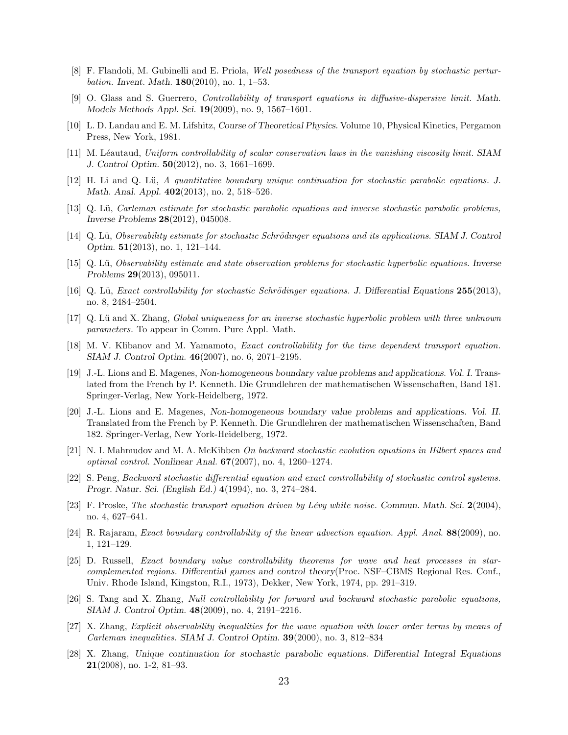- <span id="page-22-2"></span>[8] F. Flandoli, M. Gubinelli and E. Priola, Well posedness of the transport equation by stochastic pertur*bation.* Invent. Math.  $180(2010)$ , no. 1, 1-53.
- <span id="page-22-4"></span>[9] O. Glass and S. Guerrero, Controllability of transport equations in diffusive-dispersive limit. Math. Models Methods Appl. Sci. 19(2009), no. 9, 1567–1601.
- <span id="page-22-5"></span><span id="page-22-1"></span>[10] L. D. Landau and E. M. Lifshitz, Course of Theoretical Physics. Volume 10, Physical Kinetics, Pergamon Press, New York, 1981.
- <span id="page-22-9"></span>[11] M. Léautaud, Uniform controllability of scalar conservation laws in the vanishing viscosity limit. SIAM J. Control Optim. 50(2012), no. 3, 1661–1699.
- <span id="page-22-10"></span>[12] H. Li and Q. L¨u, A quantitative boundary unique continuation for stochastic parabolic equations. J. Math. Anal. Appl. **402**(2013), no. 2, 518–526.
- [13] Q. Lü, Carleman estimate for stochastic parabolic equations and inverse stochastic parabolic problems, Inverse Problems 28(2012), 045008.
- <span id="page-22-14"></span><span id="page-22-12"></span>[14] Q. Lü, Observability estimate for stochastic Schrödinger equations and its applications. SIAM J. Control Optim. 51(2013), no. 1, 121–144.
- <span id="page-22-15"></span>[15] Q. Lü, Observability estimate and state observation problems for stochastic hyperbolic equations. Inverse Problems 29(2013), 095011.
- <span id="page-22-13"></span>[16] Q. Lü, Exact controllability for stochastic Schrödinger equations. J. Differential Equations  $255(2013)$ , no. 8, 2484–2504.
- <span id="page-22-0"></span>[17] Q. Lü and X. Zhang, Global uniqueness for an inverse stochastic hyperbolic problem with three unknown parameters. To appear in Comm. Pure Appl. Math.
- [18] M. V. Klibanov and M. Yamamoto, Exact controllability for the time dependent transport equation. SIAM J. Control Optim. 46(2007), no. 6, 2071–2195.
- <span id="page-22-17"></span>[19] J.-L. Lions and E. Magenes, Non-homogeneous boundary value problems and applications. Vol. I. Translated from the French by P. Kenneth. Die Grundlehren der mathematischen Wissenschaften, Band 181. Springer-Verlag, New York-Heidelberg, 1972.
- <span id="page-22-18"></span>[20] J.-L. Lions and E. Magenes, Non-homogeneous boundary value problems and applications. Vol. II. Translated from the French by P. Kenneth. Die Grundlehren der mathematischen Wissenschaften, Band 182. Springer-Verlag, New York-Heidelberg, 1972.
- <span id="page-22-19"></span>[21] N. I. Mahmudov and M. A. McKibben On backward stochastic evolution equations in Hilbert spaces and *optimal control.* Nonlinear Anal.  $67(2007)$ , no. 4, 1260–1274.
- <span id="page-22-20"></span>[22] S. Peng, Backward stochastic differential equation and exact controllability of stochastic control systems. Progr. Natur. Sci. (English Ed.) 4(1994), no. 3, 274–284.
- <span id="page-22-3"></span>[23] F. Proske, The stochastic transport equation driven by Lévy white noise. Commun. Math. Sci.  $2(2004)$ , no. 4, 627–641.
- <span id="page-22-6"></span>[24] R. Rajaram, Exact boundary controllability of the linear advection equation. Appl. Anal. 88(2009), no. 1, 121–129.
- <span id="page-22-7"></span>[25] D. Russell, Exact boundary value controllability theorems for wave and heat processes in starcomplemented regions. Differential games and control theory(Proc. NSF–CBMS Regional Res. Conf., Univ. Rhode Island, Kingston, R.I., 1973), Dekker, New York, 1974, pp. 291–319.
- <span id="page-22-8"></span>[26] S. Tang and X. Zhang, Null controllability for forward and backward stochastic parabolic equations, SIAM J. Control Optim. 48(2009), no. 4, 2191–2216.
- <span id="page-22-16"></span>[27] X. Zhang, Explicit observability inequalities for the wave equation with lower order terms by means of Carleman inequalities. SIAM J. Control Optim. 39(2000), no. 3, 812–834
- <span id="page-22-11"></span>[28] X. Zhang, Unique continuation for stochastic parabolic equations. Differential Integral Equations 21(2008), no. 1-2, 81–93.